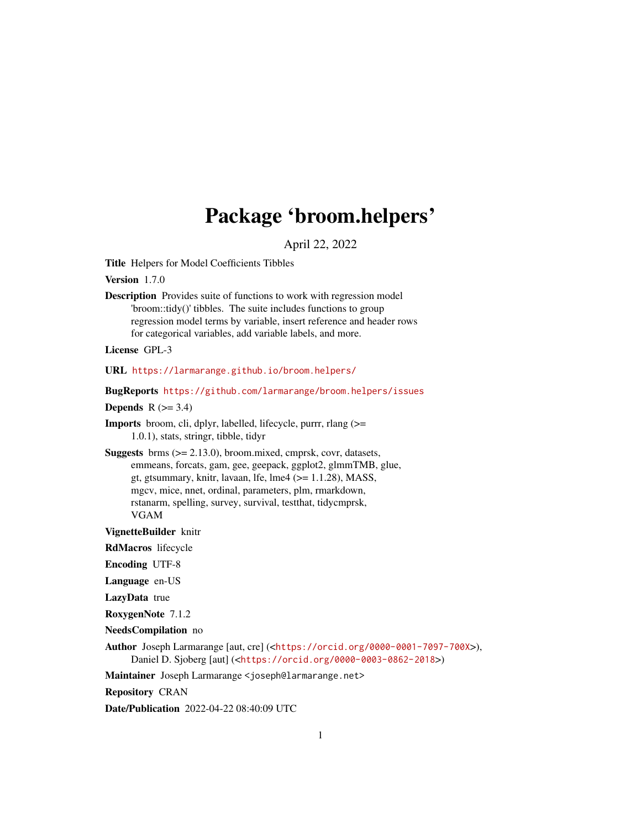# Package 'broom.helpers'

April 22, 2022

<span id="page-0-0"></span>Title Helpers for Model Coefficients Tibbles

Version 1.7.0

Description Provides suite of functions to work with regression model 'broom::tidy()' tibbles. The suite includes functions to group regression model terms by variable, insert reference and header rows for categorical variables, add variable labels, and more.

License GPL-3

URL <https://larmarange.github.io/broom.helpers/>

BugReports <https://github.com/larmarange/broom.helpers/issues>

Depends  $R$  ( $>= 3.4$ )

Imports broom, cli, dplyr, labelled, lifecycle, purrr, rlang (>= 1.0.1), stats, stringr, tibble, tidyr

Suggests brms (>= 2.13.0), broom.mixed, cmprsk, covr, datasets, emmeans, forcats, gam, gee, geepack, ggplot2, glmmTMB, glue, gt, gtsummary, knitr, lavaan, lfe, lme $4$  ( $>= 1.1.28$ ), MASS, mgcv, mice, nnet, ordinal, parameters, plm, rmarkdown, rstanarm, spelling, survey, survival, testthat, tidycmprsk, VGAM

VignetteBuilder knitr

RdMacros lifecycle

Encoding UTF-8

Language en-US

LazyData true

RoxygenNote 7.1.2

NeedsCompilation no

Author Joseph Larmarange [aut, cre] (<<https://orcid.org/0000-0001-7097-700X>>), Daniel D. Sjoberg [aut] (<<https://orcid.org/0000-0003-0862-2018>>)

Maintainer Joseph Larmarange <joseph@larmarange.net>

Repository CRAN

Date/Publication 2022-04-22 08:40:09 UTC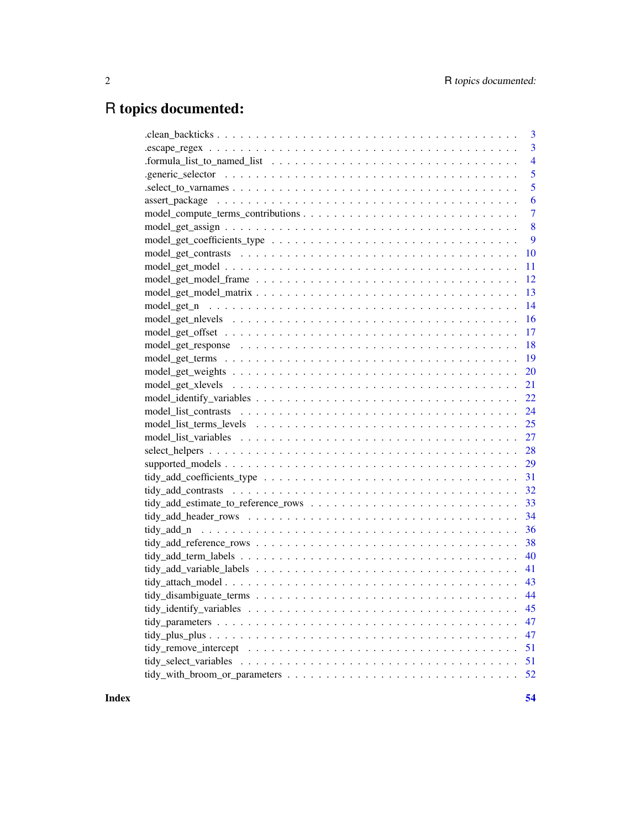# R topics documented:

| 3              |
|----------------|
| $\overline{3}$ |
| $\overline{4}$ |
| 5              |
| 5              |
| 6              |
| $\overline{7}$ |
| 8              |
| 9              |
| 10             |
| 11             |
| 12             |
| 13             |
| 14             |
| 16             |
| 17             |
| 18             |
| 19             |
| 20             |
| 21             |
| 22             |
| 24             |
| 25             |
| 27             |
|                |
|                |
|                |
|                |
|                |
|                |
| 36             |
| 38             |
| 40             |
| 41             |
|                |
|                |
| 45             |
| 47             |
| 47             |
| 51             |
| 51             |
| 52             |
|                |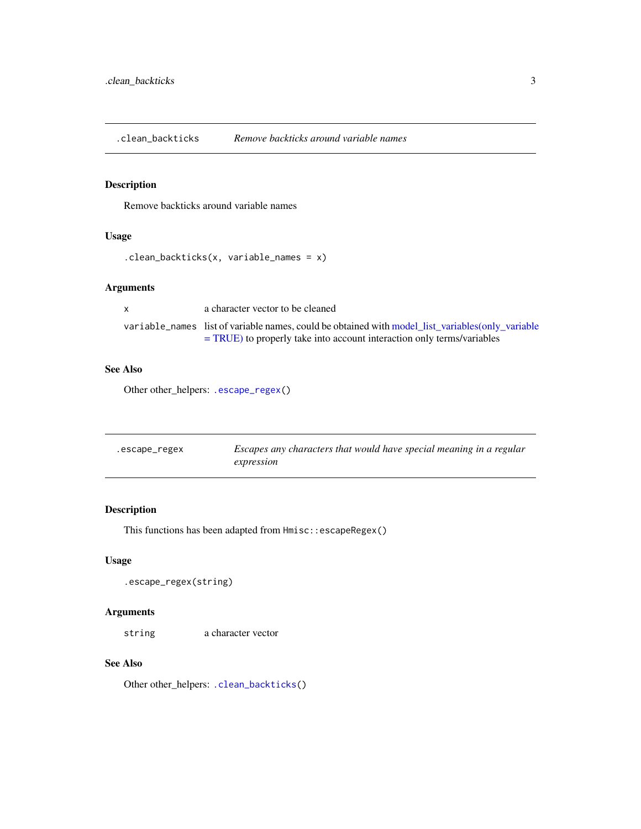<span id="page-2-2"></span><span id="page-2-0"></span>.clean\_backticks *Remove backticks around variable names*

# Description

Remove backticks around variable names

# Usage

```
.clean_backticks(x, variable_names = x)
```
# Arguments

| $\mathsf{x}$ | a character vector to be cleaned                                                                 |
|--------------|--------------------------------------------------------------------------------------------------|
|              | variable_names list of variable names, could be obtained with model_list_variables(only_variable |
|              | $=$ TRUE) to properly take into account interaction only terms/variables                         |

# See Also

Other other\_helpers: [.escape\\_regex\(](#page-2-1))

<span id="page-2-1"></span>

| .escape_regex | Escapes any characters that would have special meaning in a regular |
|---------------|---------------------------------------------------------------------|
|               | expression                                                          |

# Description

This functions has been adapted from  $Hmisc::escapeRegex()$ 

## Usage

.escape\_regex(string)

## Arguments

string a character vector

## See Also

Other other\_helpers: [.clean\\_backticks\(](#page-2-2))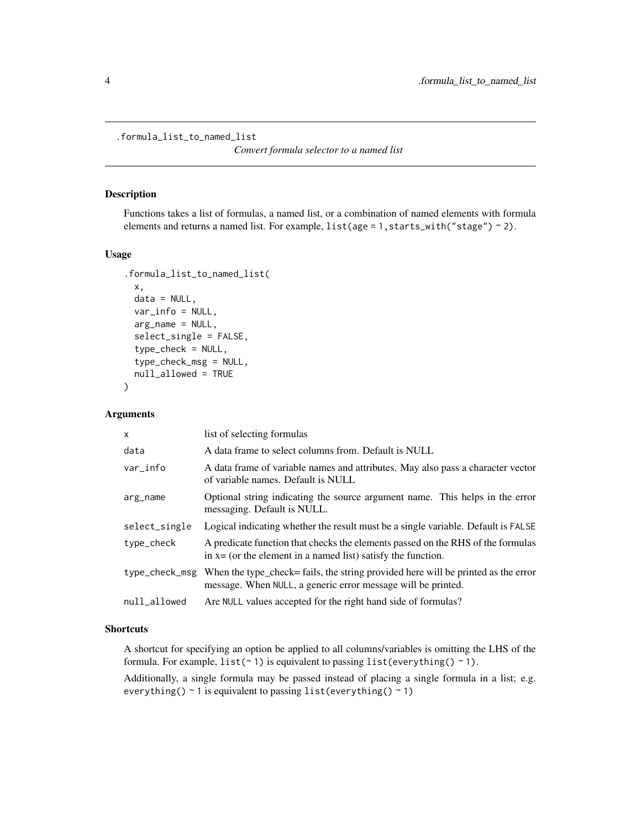<span id="page-3-0"></span>.formula\_list\_to\_named\_list

*Convert formula selector to a named list*

#### Description

Functions takes a list of formulas, a named list, or a combination of named elements with formula elements and returns a named list. For example,  $list(age = 1, starts\_with("stage") \sim 2)$ .

# Usage

```
.formula_list_to_named_list(
  x,
  data = NULL,
 var_info = NULL,
  arg_name = NULL,
  select_single = FALSE,
  type_check = NULL,
  type_check_msg = NULL,
  null_allowed = TRUE
)
```
#### Arguments

| $\mathsf{x}$   | list of selecting formulas                                                                                                                         |
|----------------|----------------------------------------------------------------------------------------------------------------------------------------------------|
| data           | A data frame to select columns from. Default is NULL                                                                                               |
| var info       | A data frame of variable names and attributes. May also pass a character vector<br>of variable names. Default is NULL                              |
| arg_name       | Optional string indicating the source argument name. This helps in the error<br>messaging. Default is NULL.                                        |
| select_single  | Logical indicating whether the result must be a single variable. Default is FALSE                                                                  |
| type_check     | A predicate function that checks the elements passed on the RHS of the formulas<br>in $x = (or the element in a named list) satisfy the function.$ |
| type_check_msg | When the type_check= fails, the string provided here will be printed as the error<br>message. When NULL, a generic error message will be printed.  |
| null_allowed   | Are NULL values accepted for the right hand side of formulas?                                                                                      |

# **Shortcuts**

A shortcut for specifying an option be applied to all columns/variables is omitting the LHS of the formula. For example,  $list(\sim 1)$  is equivalent to passing  $list(everything() \sim 1)$ .

Additionally, a single formula may be passed instead of placing a single formula in a list; e.g. everything()  $\sim$  1 is equivalent to passing list(everything()  $\sim$  1)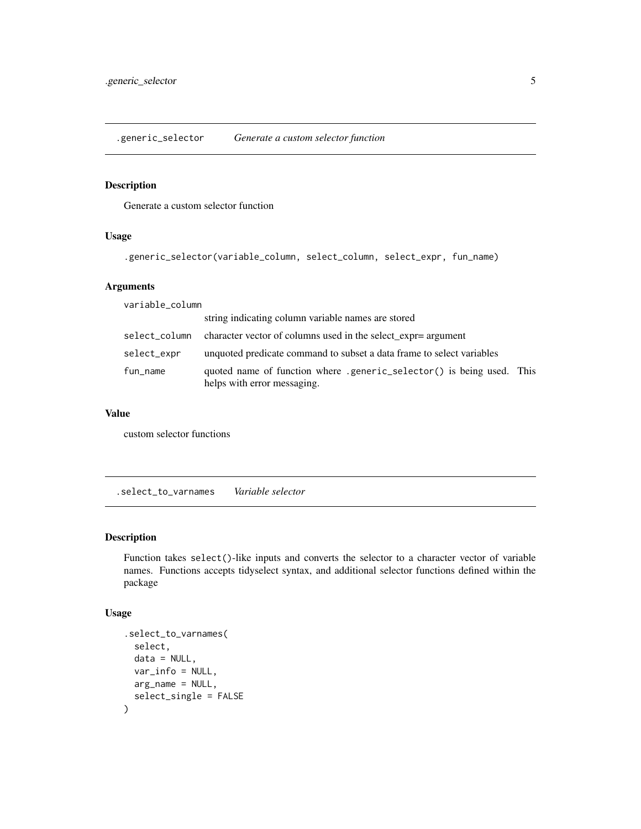<span id="page-4-0"></span>.generic\_selector *Generate a custom selector function*

# Description

Generate a custom selector function

# Usage

.generic\_selector(variable\_column, select\_column, select\_expr, fun\_name)

# Arguments

variable\_column

|               | string indicating column variable names are stored                                                   |  |
|---------------|------------------------------------------------------------------------------------------------------|--|
| select_column | character vector of columns used in the select_expr= argument                                        |  |
| select_expr   | unquoted predicate command to subset a data frame to select variables                                |  |
| fun_name      | quoted name of function where .generic_selector() is being used. This<br>helps with error messaging. |  |

#### Value

custom selector functions

.select\_to\_varnames *Variable selector*

#### Description

Function takes select()-like inputs and converts the selector to a character vector of variable names. Functions accepts tidyselect syntax, and additional selector functions defined within the package

#### Usage

```
.select_to_varnames(
  select,
  data = NULL,var_info = NULL,
 arg_name = NULL,
  select_single = FALSE
\mathcal{E}
```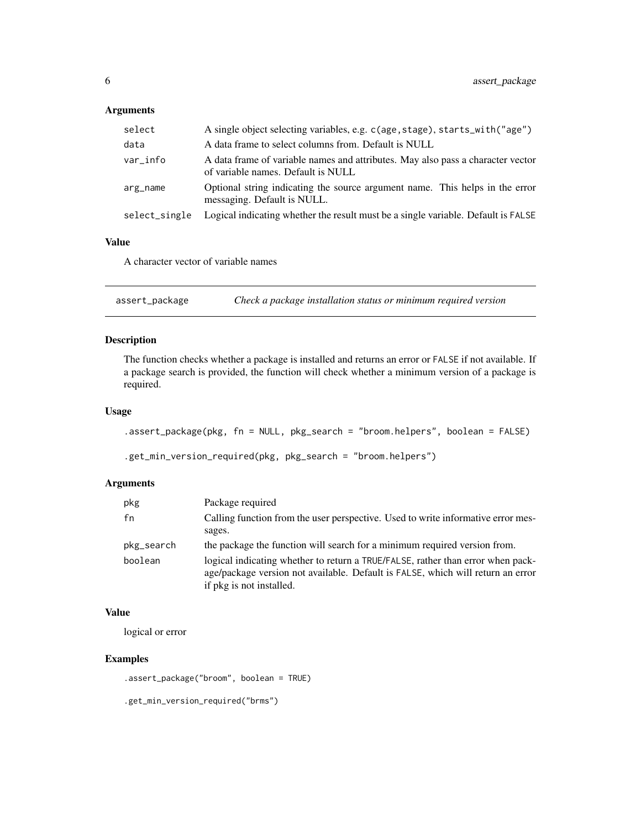# <span id="page-5-0"></span>Arguments

| select        | A single object selecting variables, e.g. c(age, stage), starts_with("age")                                           |
|---------------|-----------------------------------------------------------------------------------------------------------------------|
| data          | A data frame to select columns from. Default is NULL                                                                  |
| var info      | A data frame of variable names and attributes. May also pass a character vector<br>of variable names. Default is NULL |
| arg_name      | Optional string indicating the source argument name. This helps in the error<br>messaging. Default is NULL.           |
| select_single | Logical indicating whether the result must be a single variable. Default is FALSE                                     |

# Value

A character vector of variable names

assert\_package *Check a package installation status or minimum required version*

# Description

The function checks whether a package is installed and returns an error or FALSE if not available. If a package search is provided, the function will check whether a minimum version of a package is required.

#### Usage

```
.assert_package(pkg, fn = NULL, pkg_search = "broom.helpers", boolean = FALSE)
.get_min_version_required(pkg, pkg_search = "broom.helpers")
```
# Arguments

| pkg        | Package required                                                                                                                                                                               |
|------------|------------------------------------------------------------------------------------------------------------------------------------------------------------------------------------------------|
| fn         | Calling function from the user perspective. Used to write informative error mes-                                                                                                               |
|            | sages.                                                                                                                                                                                         |
| pkg_search | the package the function will search for a minimum required version from.                                                                                                                      |
| boolean    | logical indicating whether to return a TRUE/FALSE, rather than error when pack-<br>age/package version not available. Default is FALSE, which will return an error<br>if pkg is not installed. |

# Value

logical or error

# Examples

.assert\_package("broom", boolean = TRUE)

```
.get_min_version_required("brms")
```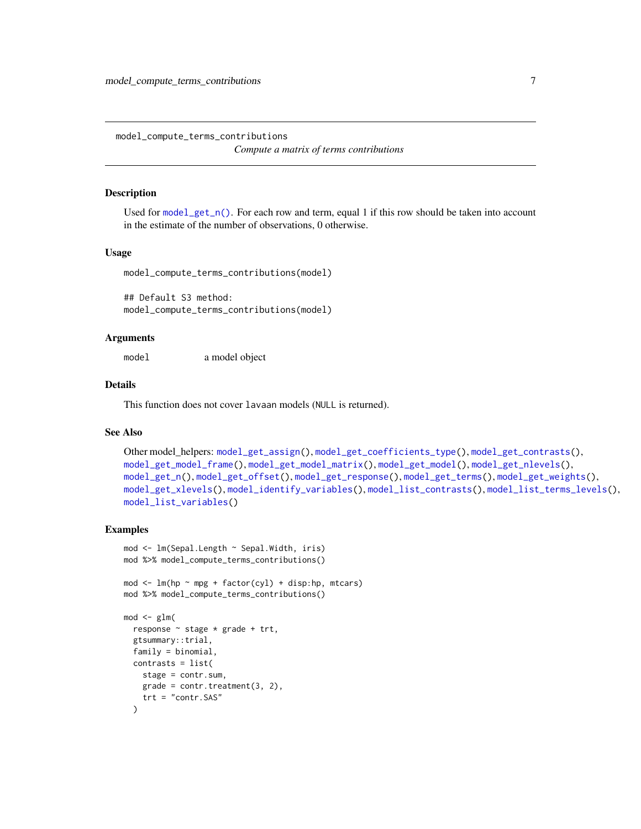<span id="page-6-1"></span><span id="page-6-0"></span>model\_compute\_terms\_contributions *Compute a matrix of terms contributions*

#### **Description**

Used for [model\\_get\\_n\(\)](#page-13-1). For each row and term, equal 1 if this row should be taken into account in the estimate of the number of observations, 0 otherwise.

# Usage

model\_compute\_terms\_contributions(model)

## Default S3 method: model\_compute\_terms\_contributions(model)

# Arguments

model a model object

# Details

This function does not cover lavaan models (NULL is returned).

# See Also

```
Other model_helpers: model_get_assign(), model_get_coefficients_type(), model_get_contrasts(),
model_get_model_frame(), model_get_model_matrix(), model_get_model(), model_get_nlevels(),
model_get_n(), model_get_offset(), model_get_response(), model_get_terms(), model_get_weights(),
model_get_xlevels(), model_identify_variables(), model_list_contrasts(), model_list_terms_levels(),
model_list_variables()
```
#### Examples

)

```
mod <- lm(Sepal.Length ~ Sepal.Width, iris)
mod %>% model_compute_terms_contributions()
mod \leq lm(hp \sim mpg + factor(cyl) + disp:hp, mtcars)
mod %>% model_compute_terms_contributions()
mod < -glm(response ~ stage * grade + trt,
  gtsummary::trial,
  family = binomial,
  contrasts = list(
   stage = contr.sum,
   grade = contr.treatment(3, 2),
```
trt = "contr.SAS"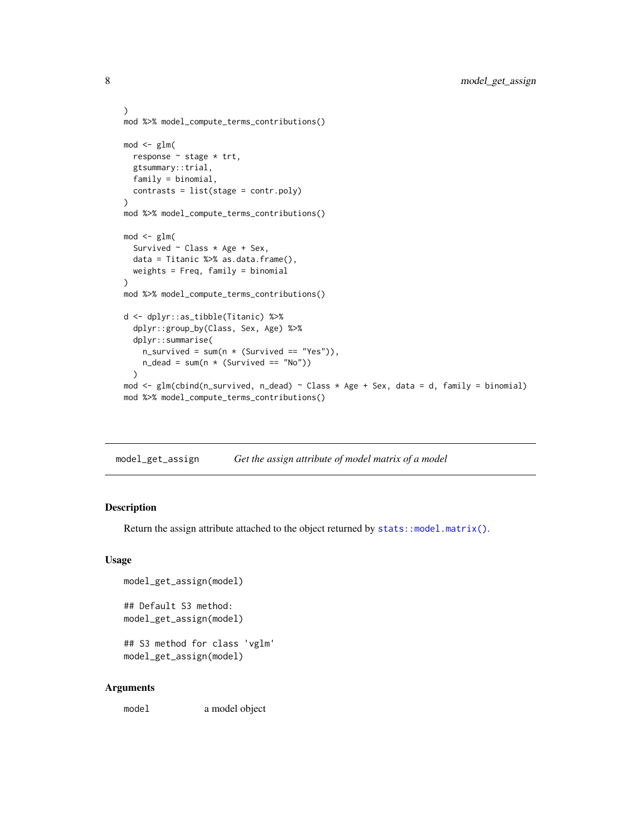```
)
mod %>% model_compute_terms_contributions()
mod < -glm(response ~ stage * trt,
  gtsummary::trial,
  family = binomial,
  contrasts = list(stage = contr.poly)
\lambdamod %>% model_compute_terms_contributions()
mod < -glm(Survived \sim Class \star Age + Sex,
  data = Titanic %>% as.data.frame(),
  weights = Freq, family = binomial
)
mod %>% model_compute_terms_contributions()
d <- dplyr::as_tibble(Titanic) %>%
  dplyr::group_by(Class, Sex, Age) %>%
  dplyr::summarise(
    n\_survived = sum(n * (Survived == "Yes")),
    n<sup>dead = sum(n * (Survived == "No"))</sup>
  )
mod <- glm(cbind(n_survived, n_dead) ~ Class * Age + Sex, data = d, family = binomial)
mod %>% model_compute_terms_contributions()
```
<span id="page-7-1"></span>model\_get\_assign *Get the assign attribute of model matrix of a model*

#### Description

Return the assign attribute attached to the object returned by [stats::model.matrix\(\)](#page-0-0).

#### Usage

```
model_get_assign(model)
## Default S3 method:
model_get_assign(model)
## S3 method for class 'vglm'
model_get_assign(model)
```
#### Arguments

model a model object

<span id="page-7-0"></span>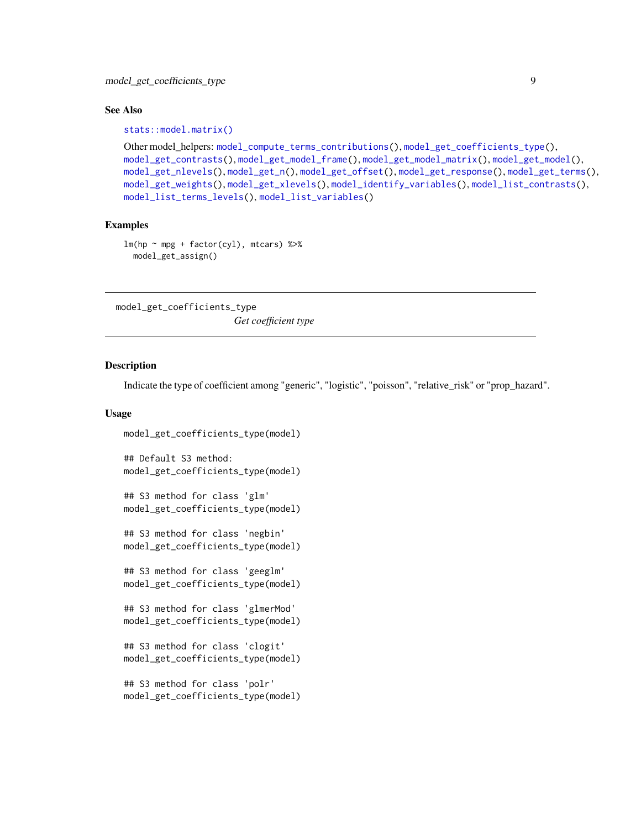## <span id="page-8-0"></span>See Also

#### [stats::model.matrix\(\)](#page-0-0)

```
Other model_helpers: model_compute_terms_contributions(), model_get_coefficients_type(),
model_get_contrasts(), model_get_model_frame(), model_get_model_matrix(), model_get_model(),
model_get_nlevels(), model_get_n(), model_get_offset(), model_get_response(), model_get_terms(),
model_get_weights(), model_get_xlevels(), model_identify_variables(), model_list_contrasts(),
model_list_terms_levels(), model_list_variables()
```
# Examples

```
lm(hp \sim mp + factor(cyl), mtcars) %>%
  model_get_assign()
```
<span id="page-8-1"></span>model\_get\_coefficients\_type *Get coefficient type*

#### Description

Indicate the type of coefficient among "generic", "logistic", "poisson", "relative\_risk" or "prop\_hazard".

#### Usage

```
model_get_coefficients_type(model)
## Default S3 method:
model_get_coefficients_type(model)
## S3 method for class 'glm'
model_get_coefficients_type(model)
## S3 method for class 'negbin'
model_get_coefficients_type(model)
## S3 method for class 'geeglm'
model_get_coefficients_type(model)
## S3 method for class 'glmerMod'
model_get_coefficients_type(model)
## S3 method for class 'clogit'
model_get_coefficients_type(model)
## S3 method for class 'polr'
model_get_coefficients_type(model)
```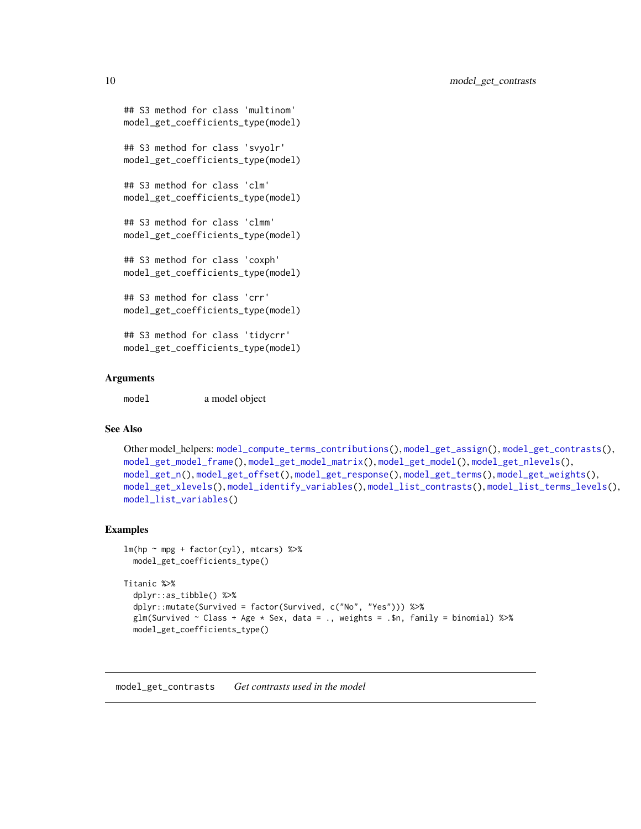```
## S3 method for class 'multinom'
model_get_coefficients_type(model)
## S3 method for class 'svyolr'
model_get_coefficients_type(model)
## S3 method for class 'clm'
model_get_coefficients_type(model)
## S3 method for class 'clmm'
model_get_coefficients_type(model)
## S3 method for class 'coxph'
model_get_coefficients_type(model)
## S3 method for class 'crr'
model_get_coefficients_type(model)
## S3 method for class 'tidycrr'
model_get_coefficients_type(model)
```
## Arguments

model a model object

# See Also

```
Other model_helpers: model_compute_terms_contributions(), model_get_assign(), model_get_contrasts(),
model_get_model_frame(), model_get_model_matrix(), model_get_model(), model_get_nlevels(),
model_get_n(), model_get_offset(), model_get_response(), model_get_terms(), model_get_weights(),
model_get_xlevels(), model_identify_variables(), model_list_contrasts(), model_list_terms_levels(),
model_list_variables()
```
#### Examples

```
lm(hp \sim mp + factor(cyl), mtcars) %>%
 model_get_coefficients_type()
```

```
Titanic %>%
 dplyr::as_tibble() %>%
 dplyr::mutate(Survived = factor(Survived, c("No", "Yes"))) %>%
 glm(Survived \sim Class + Age \star Sex, data = ., weights = .$n, family = binomial) %>%
 model_get_coefficients_type()
```
<span id="page-9-1"></span>model\_get\_contrasts *Get contrasts used in the model*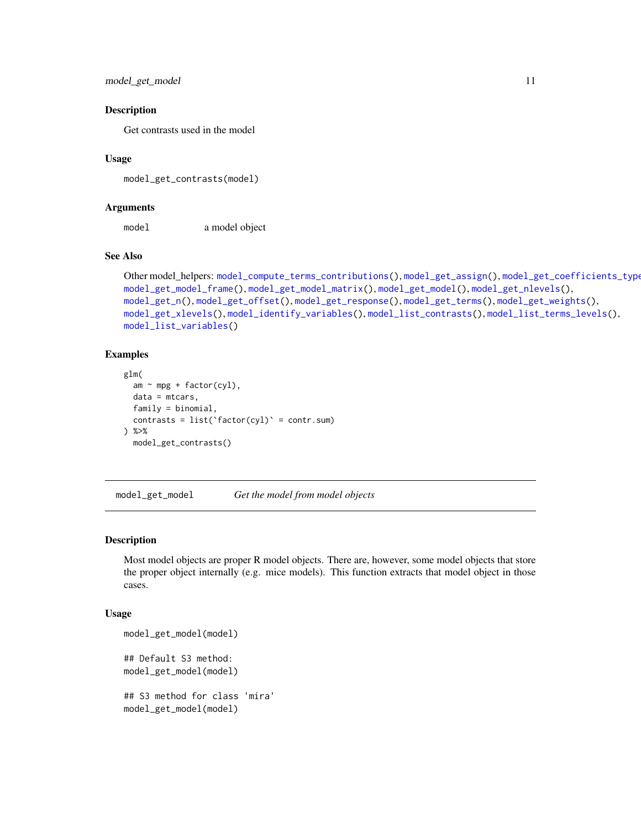```
model_get_model 11
```
#### Description

Get contrasts used in the model

#### Usage

model\_get\_contrasts(model)

# Arguments

model a model object

#### See Also

```
Other model_helpers: model_compute_terms_contributions(), model_get_assign(), model_get_coefficients_type(),
model_get_model_frame(), model_get_model_matrix(), model_get_model(), model_get_nlevels(),
model_get_n(), model_get_offset(), model_get_response(), model_get_terms(), model_get_weights(),
model_get_xlevels(), model_identify_variables(), model_list_contrasts(), model_list_terms_levels(),
model_list_variables()
```
#### Examples

```
glm(
  am ~ mpg + factor(cyl),
  data = mtcars,
  family = binomial,
  contrasts = list('factor(cyl)' = contr.sum)) %>%
  model_get_contrasts()
```
<span id="page-10-1"></span>model\_get\_model *Get the model from model objects*

#### Description

Most model objects are proper R model objects. There are, however, some model objects that store the proper object internally (e.g. mice models). This function extracts that model object in those cases.

#### Usage

```
model_get_model(model)
## Default S3 method:
model_get_model(model)
## S3 method for class 'mira'
model_get_model(model)
```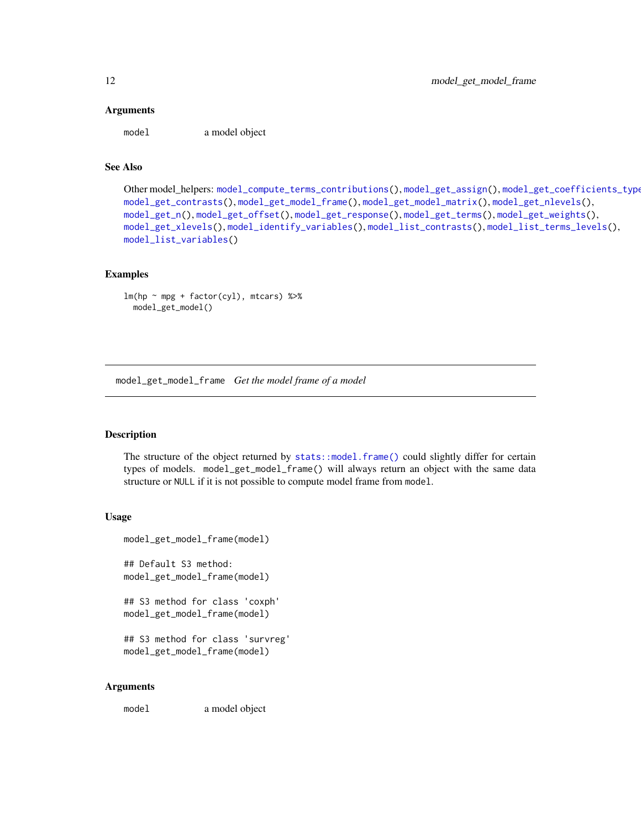#### <span id="page-11-0"></span>Arguments

model a model object

# See Also

```
Other model_helpers: model_compute_terms_contributions(), model_get_assign(), model_get_coefficients_type(),
model_get_contrasts(), model_get_model_frame(), model_get_model_matrix(), model_get_nlevels(),
model_get_n(), model_get_offset(), model_get_response(), model_get_terms(), model_get_weights(),
model_get_xlevels(), model_identify_variables(), model_list_contrasts(), model_list_terms_levels(),
model_list_variables()
```
#### Examples

```
lm(hp \sim mp + factor(cyl), mtcars) %>%
  model_get_model()
```
<span id="page-11-1"></span>model\_get\_model\_frame *Get the model frame of a model*

#### Description

The structure of the object returned by [stats::model.frame\(\)](#page-0-0) could slightly differ for certain types of models. model\_get\_model\_frame() will always return an object with the same data structure or NULL if it is not possible to compute model frame from model.

#### Usage

```
model_get_model_frame(model)
```
## Default S3 method: model\_get\_model\_frame(model)

```
## S3 method for class 'coxph'
model_get_model_frame(model)
```

```
## S3 method for class 'survreg'
model_get_model_frame(model)
```
#### Arguments

model a model object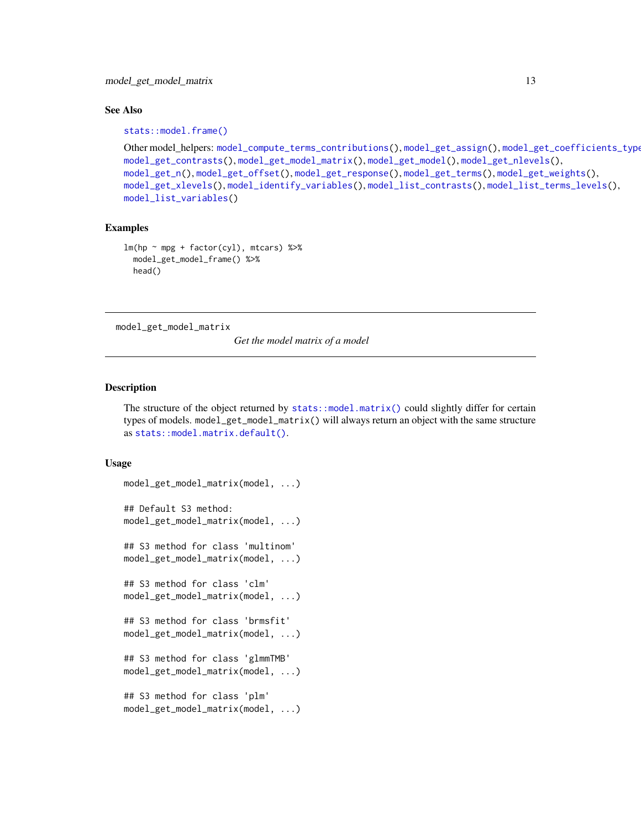#### <span id="page-12-0"></span>See Also

[stats::model.frame\(\)](#page-0-0)

```
Other model_helpers: model_compute_terms_contributions(), model_get_assign(), model_get_coefficients_type(),
model_get_contrasts(), model_get_model_matrix(), model_get_model(), model_get_nlevels(),
model_get_n(), model_get_offset(), model_get_response(), model_get_terms(), model_get_weights(),
model_get_xlevels(), model_identify_variables(), model_list_contrasts(), model_list_terms_levels(),
model_list_variables()
```
#### Examples

```
lm(hp \sim mp + factor(cyl), mtcars) %>%
 model_get_model_frame() %>%
 head()
```
<span id="page-12-1"></span>model\_get\_model\_matrix

*Get the model matrix of a model*

#### Description

The structure of the object returned by [stats::model.matrix\(\)](#page-0-0) could slightly differ for certain types of models. model\_get\_model\_matrix() will always return an object with the same structure as [stats::model.matrix.default\(\)](#page-0-0).

#### Usage

```
model_get_model_matrix(model, ...)
## Default S3 method:
model_get_model_matrix(model, ...)
## S3 method for class 'multinom'
model_get_model_matrix(model, ...)
## S3 method for class 'clm'
model_get_model_matrix(model, ...)
## S3 method for class 'brmsfit'
model_get_model_matrix(model, ...)
## S3 method for class 'glmmTMB'
model_get_model_matrix(model, ...)
## S3 method for class 'plm'
model_get_model_matrix(model, ...)
```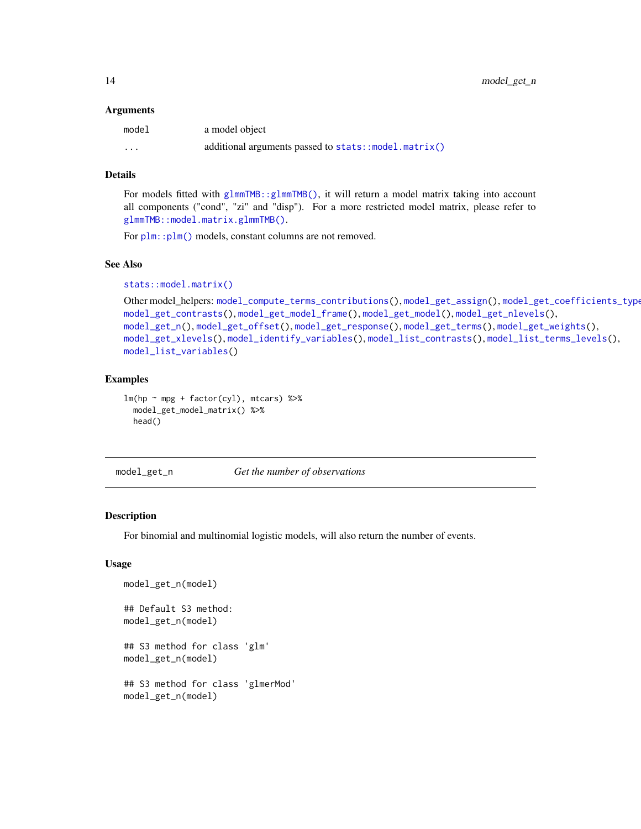<span id="page-13-0"></span>14 model\_get\_n

#### **Arguments**

| model    | a model object                                       |
|----------|------------------------------------------------------|
| $\cdots$ | additional arguments passed to stats::model.matrix() |

## Details

For models fitted with [glmmTMB::glmmTMB\(\)](#page-0-0), it will return a model matrix taking into account all components ("cond", "zi" and "disp"). For a more restricted model matrix, please refer to [glmmTMB::model.matrix.glmmTMB\(\)](#page-0-0).

For  $plm::plm()$  models, constant columns are not removed.

#### See Also

```
stats::model.matrix()
```

```
Other model_helpers: model_compute_terms_contributions(), model_get_assign(), model_get_coefficients_type(),
model_get_contrasts(), model_get_model_frame(), model_get_model(), model_get_nlevels(),
model_get_n(), model_get_offset(), model_get_response(), model_get_terms(), model_get_weights(),
model_get_xlevels(), model_identify_variables(), model_list_contrasts(), model_list_terms_levels(),
model_list_variables()
```
# Examples

```
lm(hp \sim mp + factor(cyl), mtcars) %>%
  model_get_model_matrix() %>%
  head()
```
<span id="page-13-1"></span>model\_get\_n *Get the number of observations*

#### Description

For binomial and multinomial logistic models, will also return the number of events.

#### Usage

```
model_get_n(model)
## Default S3 method:
model_get_n(model)
## S3 method for class 'glm'
model_get_n(model)
## S3 method for class 'glmerMod'
model_get_n(model)
```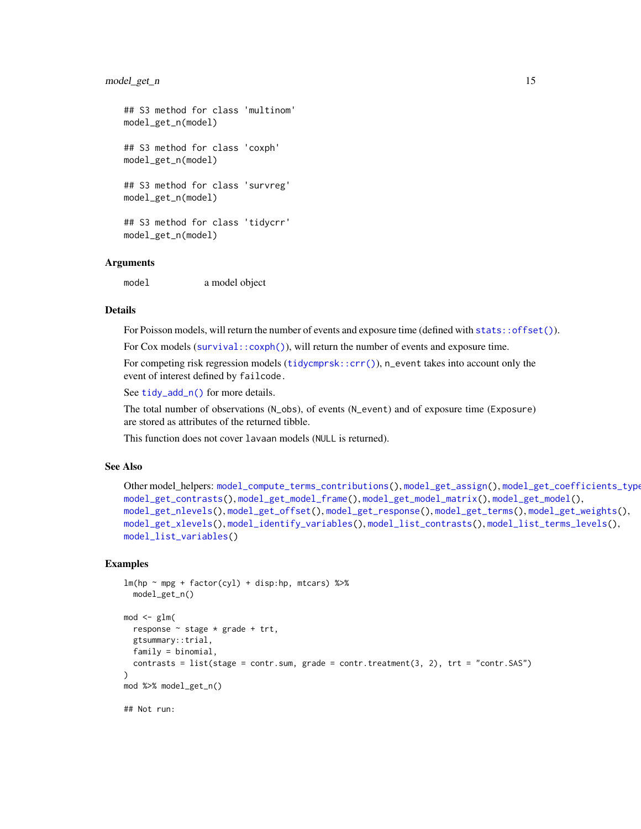#### <span id="page-14-0"></span>model\_get\_n 15

```
## S3 method for class 'multinom'
model_get_n(model)
## S3 method for class 'coxph'
model_get_n(model)
## S3 method for class 'survreg'
model_get_n(model)
## S3 method for class 'tidycrr'
model_get_n(model)
```
# **Arguments**

model a model object

#### Details

For Poisson models, will return the number of events and exposure time (defined with [stats::offset\(\)](#page-0-0)).

For Cox models ([survival::coxph\(\)](#page-0-0)), will return the number of events and exposure time.

For competing risk regression models ([tidycmprsk::crr\(\)](#page-0-0)), n\_event takes into account only the event of interest defined by failcode.

See [tidy\\_add\\_n\(\)](#page-35-1) for more details.

The total number of observations (N\_obs), of events (N\_event) and of exposure time (Exposure) are stored as attributes of the returned tibble.

This function does not cover lavaan models (NULL is returned).

#### See Also

```
Other model_helpers: model_compute_terms_contributions(), model_get_assign(), model_get_coefficients_type(),
model_get_contrasts(), model_get_model_frame(), model_get_model_matrix(), model_get_model(),
model_get_nlevels(), model_get_offset(), model_get_response(), model_get_terms(), model_get_weights(),
model_get_xlevels(), model_identify_variables(), model_list_contrasts(), model_list_terms_levels(),
model_list_variables()
```
#### Examples

```
lm(hp \sim mp + factor(cyl) + disp:hp, mtcars) %>%
  model_get_n()
mod < -glm(response \sim stage * grade + trt,
  gtsummary::trial,
  family = binomial,
  contrasts = list(stage = contr.sum, grade = contr.treatment(3, 2), trt = "contr.SAS")
)
mod %>% model_get_n()
## Not run:
```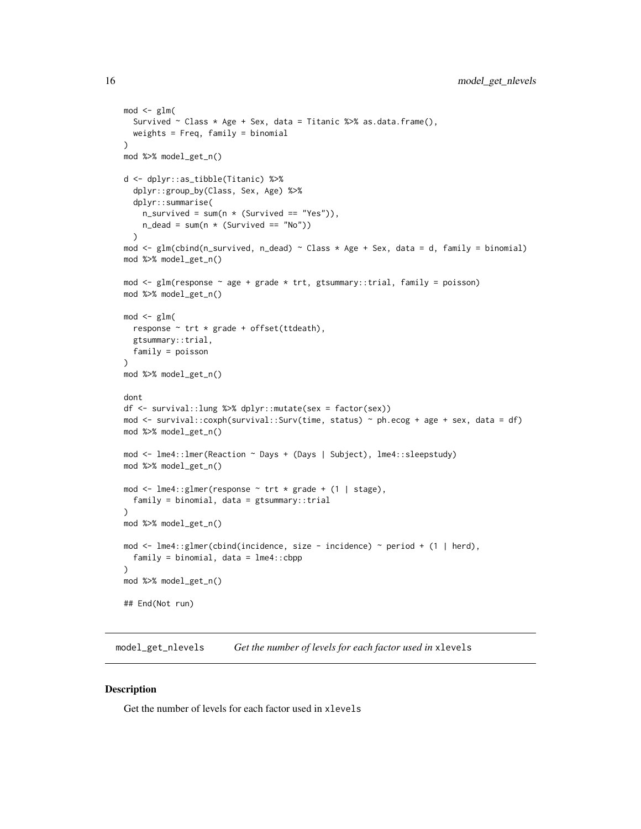```
mod < - glm(
  Survived \sim Class * Age + Sex, data = Titanic %>% as.data.frame(),
  weights = Freq, family = binomial
)
mod %>% model_get_n()
d <- dplyr::as_tibble(Titanic) %>%
  dplyr::group_by(Class, Sex, Age) %>%
  dplyr::summarise(
    n\_survived = sum(n * (Survived == "Yes")),
    n<sup>dead = sum(n * (Survived == "No"))</sup>
  \lambdamod <- glm(cbind(n_survived, n_dead) ~ Class * Age + Sex, data = d, family = binomial)
mod %>% model_get_n()
mod \leq glm(response \sim age + grade * trt, gtsummary::trial, family = poisson)
mod %>% model_get_n()
mod < - glm(
  response \sim trt * grade + offset(ttdeath),
  gtsummary::trial,
  family = poisson
\lambdamod %>% model_get_n()
dont
df <- survival::lung %>% dplyr::mutate(sex = factor(sex))
mod <- survival::coxph(survival::Surv(time, status) ~ ph.ecog + age + sex, data = df)
mod %>% model_get_n()
mod <- lme4::lmer(Reaction ~ Days + (Days | Subject), lme4::sleepstudy)
mod %>% model_get_n()
mod <- lme4::glmer(response ~ trt * grade + (1 | stage),
  family = binomial, data = gtsummary::trial
\lambdamod %>% model_get_n()
mod <- lme4::glmer(cbind(incidence, size - incidence) ~ period + (1 | herd),
  family = binomial, data = Ime4::cbpp)
mod %>% model_get_n()
## End(Not run)
```
<span id="page-15-1"></span>model\_get\_nlevels *Get the number of levels for each factor used in* xlevels

## **Description**

Get the number of levels for each factor used in xlevels

<span id="page-15-0"></span>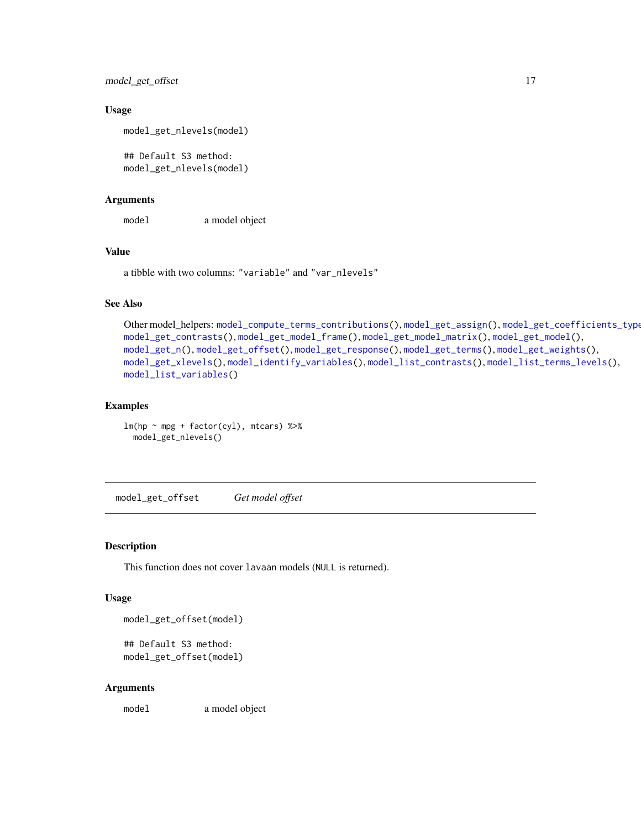<span id="page-16-0"></span>model\_get\_offset 17

#### Usage

```
model_get_nlevels(model)
```
## Default S3 method: model\_get\_nlevels(model)

#### Arguments

model a model object

#### Value

a tibble with two columns: "variable" and "var\_nlevels"

# See Also

```
Other model_helpers: model_compute_terms_contributions(), model_get_assign(), model_get_coefficients_type(),
model_get_contrasts(), model_get_model_frame(), model_get_model_matrix(), model_get_model(),
model_get_n(), model_get_offset(), model_get_response(), model_get_terms(), model_get_weights(),
model_get_xlevels(), model_identify_variables(), model_list_contrasts(), model_list_terms_levels(),
model_list_variables()
```
# Examples

 $lm(hp \sim mp + factor(cyl), mtcars)$  %>% model\_get\_nlevels()

<span id="page-16-1"></span>model\_get\_offset *Get model offset*

### Description

This function does not cover lavaan models (NULL is returned).

#### Usage

```
model_get_offset(model)
```

```
## Default S3 method:
model_get_offset(model)
```
#### Arguments

model a model object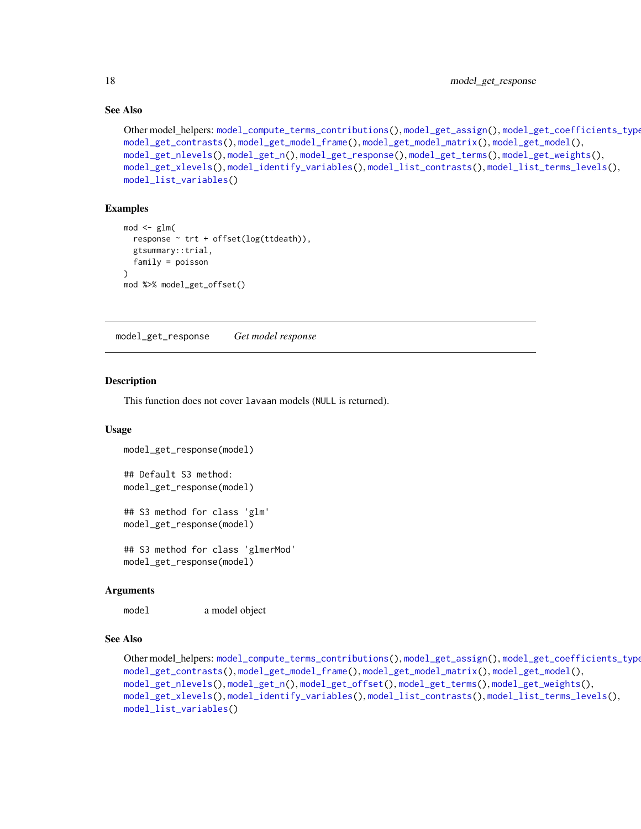# See Also

```
Other model_helpers: model_compute_terms_contributions(), model_get_assign(), model_get_coefficients_type(),
model_get_contrasts(), model_get_model_frame(), model_get_model_matrix(), model_get_model(),
model_get_nlevels(), model_get_n(), model_get_response(), model_get_terms(), model_get_weights(),
model_get_xlevels(), model_identify_variables(), model_list_contrasts(), model_list_terms_levels(),
model_list_variables()
```
# Examples

```
mod < - glm(
  response \sim trt + offset(log(ttdeath)),
  gtsummary::trial,
  family = poisson
)
mod %>% model_get_offset()
```
<span id="page-17-1"></span>model\_get\_response *Get model response*

#### Description

This function does not cover lavaan models (NULL is returned).

### Usage

```
model_get_response(model)
```

```
## Default S3 method:
model_get_response(model)
```

```
## S3 method for class 'glm'
model_get_response(model)
```

```
## S3 method for class 'glmerMod'
model_get_response(model)
```
#### Arguments

model a model object

# See Also

```
Other model_helpers: model_compute_terms_contributions(), model_get_assign(), model_get_coefficients_type(),
model_get_contrasts(), model_get_model_frame(), model_get_model_matrix(), model_get_model(),
model_get_nlevels(), model_get_n(), model_get_offset(), model_get_terms(), model_get_weights(),
model_get_xlevels(), model_identify_variables(), model_list_contrasts(), model_list_terms_levels(),
model_list_variables()
```
<span id="page-17-0"></span>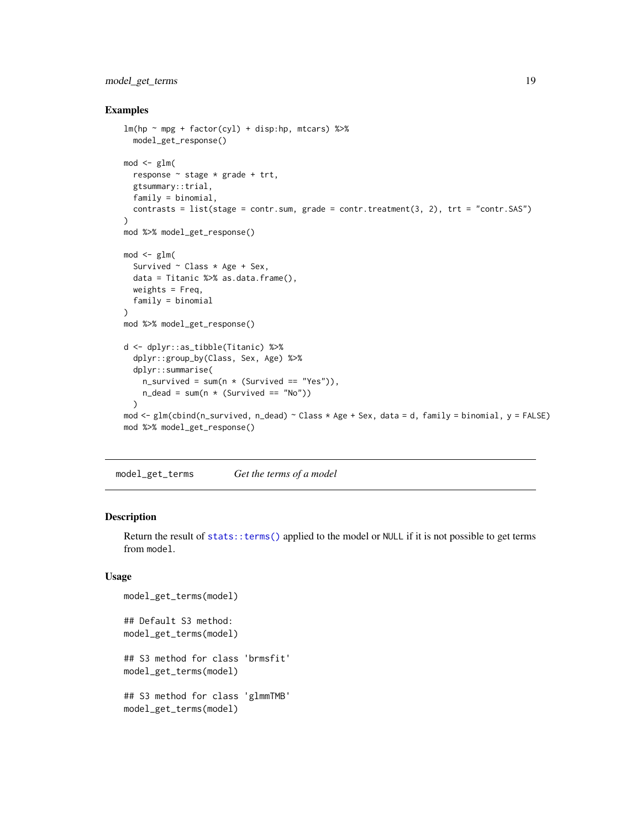# <span id="page-18-0"></span>model\_get\_terms 19

#### Examples

```
lm(hp \sim mp + factor(cyl) + disp:hp, mtcars) %>%
  model_get_response()
mod < -glm(response ~ stage * grade + trt,
  gtsummary::trial,
  family = binomial,
  contrasts = list(stage = contr.sum, grade = contr.treatment(3, 2), trt = "contr.SAS")
)
mod %>% model_get_response()
mod < -glm(Survived \sim Class \star Age + Sex,
  data = Titanic %>% as.data.frame(),
 weights = Freq,family = binomial
\lambdamod %>% model_get_response()
d <- dplyr::as_tibble(Titanic) %>%
  dplyr::group_by(Class, Sex, Age) %>%
  dplyr::summarise(
    n\_survived = sum(n * (Survived == "Yes")),
    n<sup>dead = sum(n * (Survived == "No"))</sup>
  )
mod <- glm(cbind(n_survived, n_dead) ~ Class * Age + Sex, data = d, family = binomial, y = FALSE)
mod %>% model_get_response()
```
<span id="page-18-1"></span>model\_get\_terms *Get the terms of a model*

# Description

Return the result of [stats::terms\(\)](#page-0-0) applied to the model or NULL if it is not possible to get terms from model.

#### Usage

```
model_get_terms(model)
## Default S3 method:
model_get_terms(model)
## S3 method for class 'brmsfit'
model_get_terms(model)
## S3 method for class 'glmmTMB'
model_get_terms(model)
```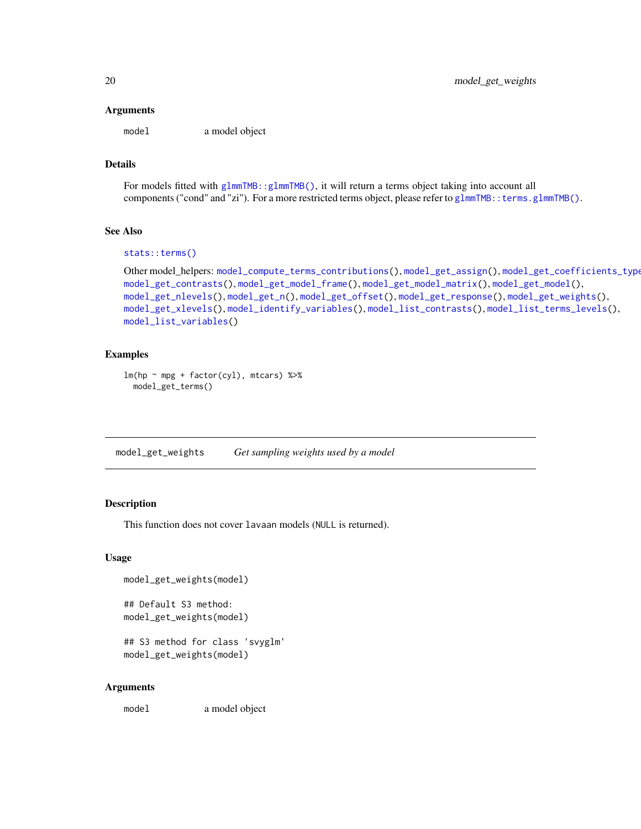#### <span id="page-19-0"></span>Arguments

model a model object

# Details

For models fitted with [glmmTMB::glmmTMB\(\)](#page-0-0), it will return a terms object taking into account all components ("cond" and "zi"). For a more restricted terms object, please refer to glmmTMB:: terms.glmmTMB().

# See Also

```
stats::terms()
```

```
Other model_helpers: model_compute_terms_contributions(), model_get_assign(), model_get_coefficients_type(),
model_get_contrasts(), model_get_model_frame(), model_get_model_matrix(), model_get_model(),
model_get_nlevels(), model_get_n(), model_get_offset(), model_get_response(), model_get_weights(),
model_get_xlevels(), model_identify_variables(), model_list_contrasts(), model_list_terms_levels(),
model_list_variables()
```
#### Examples

```
lm(hp \sim mp + factor(cyl), mtcars) %>%
 model_get_terms()
```
<span id="page-19-1"></span>model\_get\_weights *Get sampling weights used by a model*

#### Description

This function does not cover lavaan models (NULL is returned).

#### Usage

```
model_get_weights(model)
```
## Default S3 method: model\_get\_weights(model)

## S3 method for class 'svyglm' model\_get\_weights(model)

#### Arguments

model a model object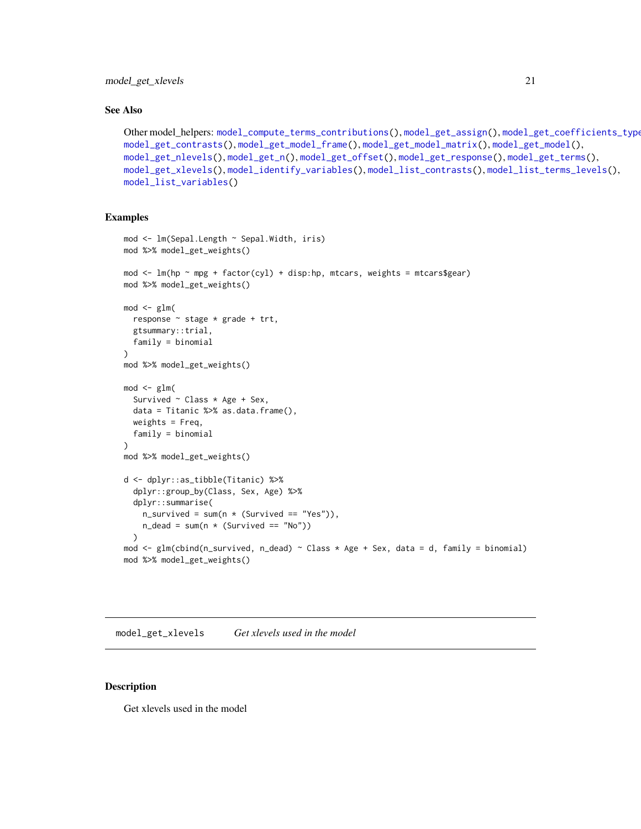<span id="page-20-0"></span>model\_get\_xlevels 21

#### See Also

```
Other model_helpers: model_compute_terms_contributions(), model_get_assign(), model_get_coefficients_type(),
model_get_contrasts(), model_get_model_frame(), model_get_model_matrix(), model_get_model(),
model_get_nlevels(), model_get_n(), model_get_offset(), model_get_response(), model_get_terms(),
model_get_xlevels(), model_identify_variables(), model_list_contrasts(), model_list_terms_levels(),
model_list_variables()
```
# Examples

```
mod <- lm(Sepal.Length ~ Sepal.Width, iris)
mod %>% model_get_weights()
mod \le - lm(hp \sim mpg + factor(cyl) + disp:hp, mtcars, weights = mtcars$gear)
mod %>% model_get_weights()
mod < -glm(response ~ stage * grade + trt,
  gtsummary::trial,
  family = binomial
)
mod %>% model_get_weights()
mod < -glm(Survived \sim Class * Age + Sex,
  data = Titanic %>% as.data.frame(),
  weights = Freq,
  family = binomial
)
mod %>% model_get_weights()
d <- dplyr::as_tibble(Titanic) %>%
  dplyr::group_by(Class, Sex, Age) %>%
  dplyr::summarise(
    n\_survived = sum(n * (Survived == "Yes")),
    n<sup>dead = sum(n * (Survived == "No"))</sup>
  )
mod \leq glm(cbind(n_survived, n_dead) \sim Class \star Age + Sex, data = d, family = binomial)
mod %>% model_get_weights()
```
<span id="page-20-1"></span>model\_get\_xlevels *Get xlevels used in the model*

#### Description

Get xlevels used in the model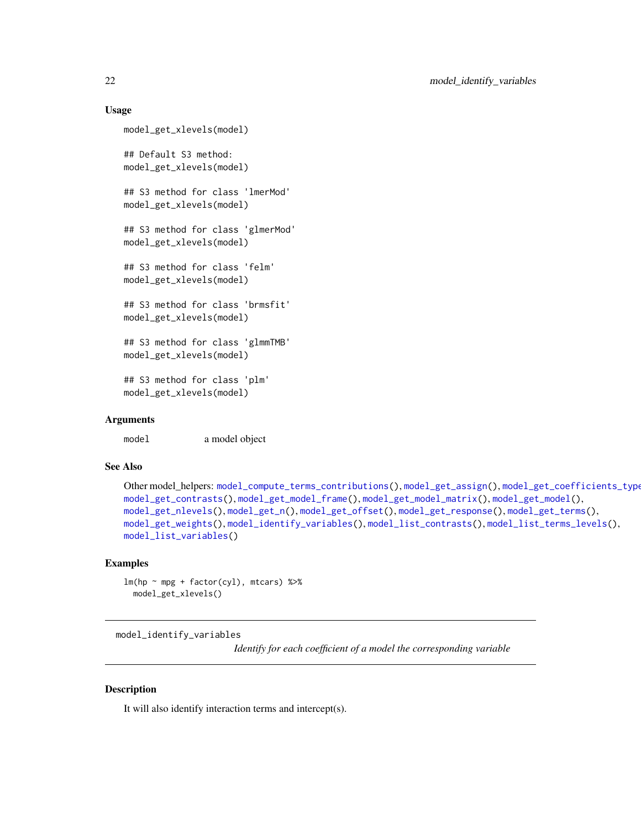#### <span id="page-21-0"></span>Usage

```
model_get_xlevels(model)
## Default S3 method:
model_get_xlevels(model)
## S3 method for class 'lmerMod'
model_get_xlevels(model)
## S3 method for class 'glmerMod'
model_get_xlevels(model)
## S3 method for class 'felm'
model_get_xlevels(model)
## S3 method for class 'brmsfit'
model_get_xlevels(model)
## S3 method for class 'glmmTMB'
model_get_xlevels(model)
## S3 method for class 'plm'
model_get_xlevels(model)
```
#### Arguments

model a model object

#### See Also

```
Other model_helpers: model_compute_terms_contributions(), model_get_assign(), model_get_coefficients_type(),
model_get_contrasts(), model_get_model_frame(), model_get_model_matrix(), model_get_model(),
model_get_nlevels(), model_get_n(), model_get_offset(), model_get_response(), model_get_terms(),
model_get_weights(), model_identify_variables(), model_list_contrasts(), model_list_terms_levels(),
model_list_variables()
```
#### Examples

lm(hp ~ mpg + factor(cyl), mtcars) %>% model\_get\_xlevels()

<span id="page-21-1"></span>model\_identify\_variables

*Identify for each coefficient of a model the corresponding variable*

## Description

It will also identify interaction terms and intercept(s).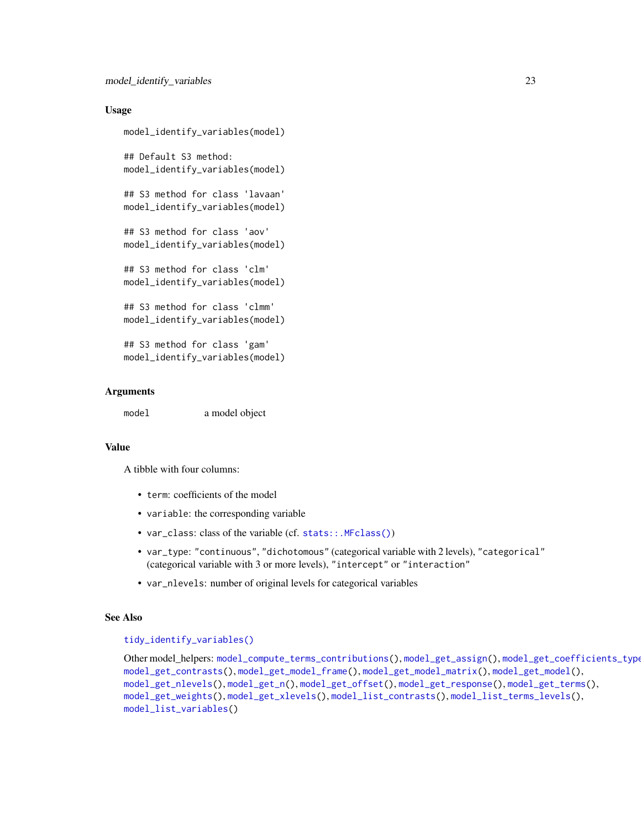#### <span id="page-22-0"></span>Usage

```
model_identify_variables(model)
## Default S3 method:
model_identify_variables(model)
## S3 method for class 'lavaan'
model_identify_variables(model)
## S3 method for class 'aov'
model_identify_variables(model)
## S3 method for class 'clm'
model_identify_variables(model)
## S3 method for class 'clmm'
model_identify_variables(model)
## S3 method for class 'gam'
model_identify_variables(model)
```
#### Arguments

model a model object

#### Value

A tibble with four columns:

- term: coefficients of the model
- variable: the corresponding variable
- var\_class: class of the variable (cf. [stats::.MFclass\(\)](#page-0-0))
- var\_type: "continuous", "dichotomous" (categorical variable with 2 levels), "categorical" (categorical variable with 3 or more levels), "intercept" or "interaction"
- var\_nlevels: number of original levels for categorical variables

# See Also

#### [tidy\\_identify\\_variables\(\)](#page-44-1)

Other model\_helpers: [model\\_compute\\_terms\\_contributions\(](#page-6-1)), [model\\_get\\_assign\(](#page-7-1)), [model\\_get\\_coefficients\\_type\(](#page-8-1)), [model\\_get\\_contrasts\(](#page-9-1)), [model\\_get\\_model\\_frame\(](#page-11-1)), [model\\_get\\_model\\_matrix\(](#page-12-1)), [model\\_get\\_model\(](#page-10-1)), [model\\_get\\_nlevels\(](#page-15-1)), [model\\_get\\_n\(](#page-13-1)), [model\\_get\\_offset\(](#page-16-1)), [model\\_get\\_response\(](#page-17-1)), [model\\_get\\_terms\(](#page-18-1)), [model\\_get\\_weights\(](#page-19-1)), [model\\_get\\_xlevels\(](#page-20-1)), [model\\_list\\_contrasts\(](#page-23-1)), [model\\_list\\_terms\\_levels\(](#page-24-1)), [model\\_list\\_variables\(](#page-26-1))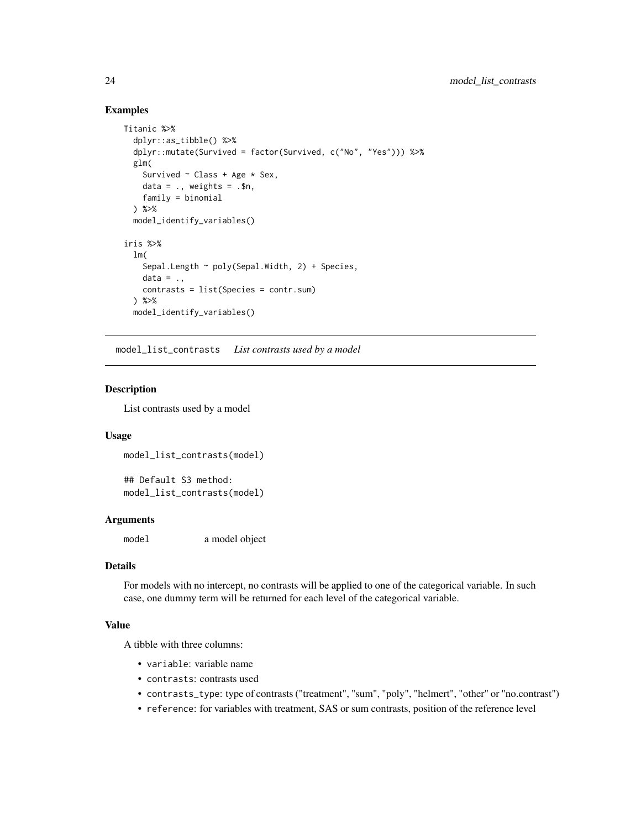# <span id="page-23-0"></span>Examples

```
Titanic %>%
  dplyr::as_tibble() %>%
  dplyr::mutate(Survived = factor(Survived, c("No", "Yes"))) %>%
  glm(
    Survived \sim Class + Age \star Sex,
    data = \ldots weights = \ldots$n,
    family = binomial
  ) %>%
  model_identify_variables()
iris %>%
  lm(
    Sepal.Length ~ poly(Sepal.Width, 2) + Species,
    data = \ldotscontrasts = list(Species = contr.sum)
  ) %>%
  model_identify_variables()
```
<span id="page-23-1"></span>model\_list\_contrasts *List contrasts used by a model*

#### Description

List contrasts used by a model

#### Usage

model\_list\_contrasts(model)

## Default S3 method: model\_list\_contrasts(model)

#### Arguments

model a model object

#### Details

For models with no intercept, no contrasts will be applied to one of the categorical variable. In such case, one dummy term will be returned for each level of the categorical variable.

# Value

A tibble with three columns:

- variable: variable name
- contrasts: contrasts used
- contrasts\_type: type of contrasts ("treatment", "sum", "poly", "helmert", "other" or "no.contrast")
- reference: for variables with treatment, SAS or sum contrasts, position of the reference level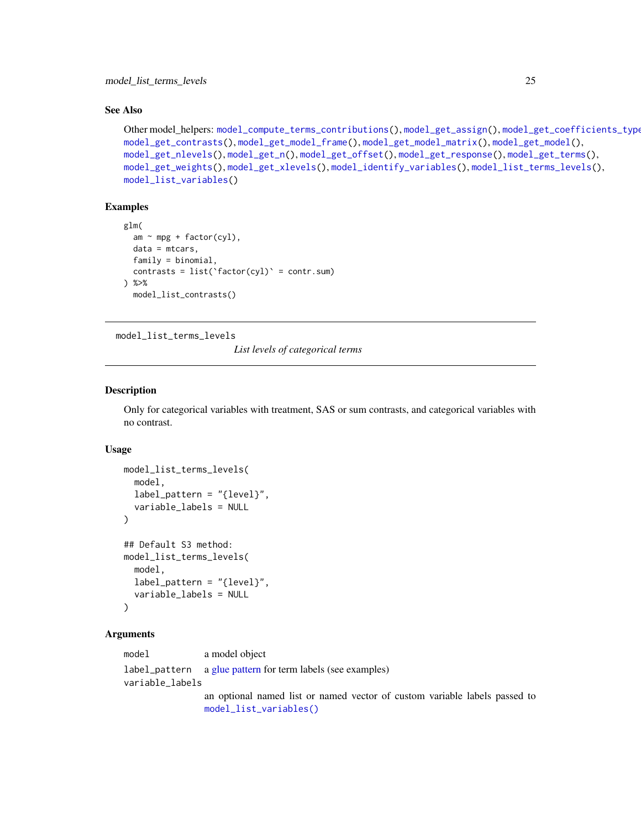#### <span id="page-24-0"></span>See Also

```
Other model_helpers: model_compute_terms_contributions(), model_get_assign(), model_get_coefficients_type(),
model_get_contrasts(), model_get_model_frame(), model_get_model_matrix(), model_get_model(),
model_get_nlevels(), model_get_n(), model_get_offset(), model_get_response(), model_get_terms(),
model_get_weights(), model_get_xlevels(), model_identify_variables(), model_list_terms_levels(),
model_list_variables()
```
#### Examples

```
glm(
 am \sim mp + factor(cyl),
 data = mtcars,
 family = binomial,
 contrasts = list('factor(cyl)' = contr.sum)) %>%
 model_list_contrasts()
```
<span id="page-24-1"></span>model\_list\_terms\_levels

*List levels of categorical terms*

#### Description

Only for categorical variables with treatment, SAS or sum contrasts, and categorical variables with no contrast.

#### Usage

```
model_list_terms_levels(
 model,
  label_pattern = "{level}",
  variable_labels = NULL
\lambda## Default S3 method:
model_list_terms_levels(
 model,
  label_pattern = "{level}",
  variable_labels = NULL
)
```
#### Arguments

model a model object label\_pattern a [glue pattern](#page-0-0) for term labels (see examples) variable\_labels an optional named list or named vector of custom variable labels passed to [model\\_list\\_variables\(\)](#page-26-1)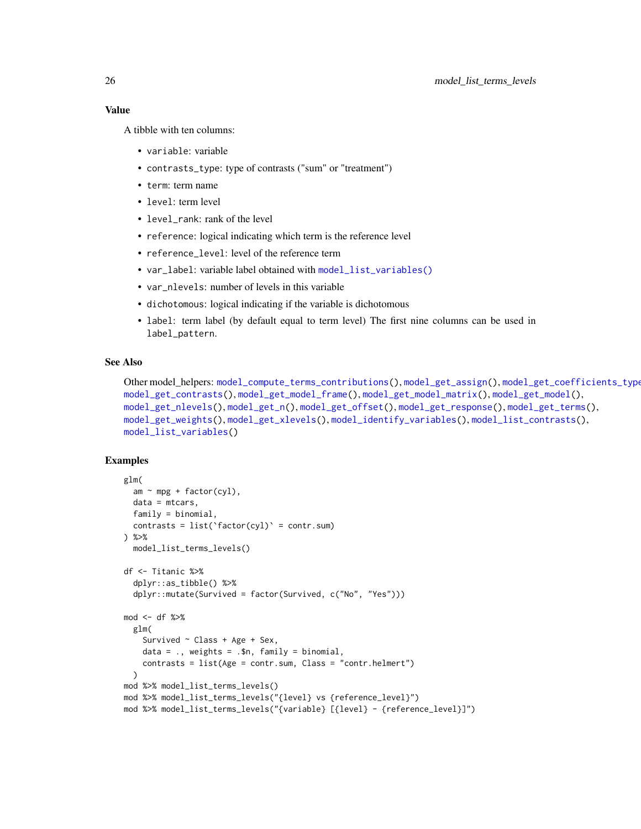<span id="page-25-0"></span>Value

A tibble with ten columns:

- variable: variable
- contrasts\_type: type of contrasts ("sum" or "treatment")
- term: term name
- level: term level
- level\_rank: rank of the level
- reference: logical indicating which term is the reference level
- reference\_level: level of the reference term
- var\_label: variable label obtained with [model\\_list\\_variables\(\)](#page-26-1)
- var\_nlevels: number of levels in this variable
- dichotomous: logical indicating if the variable is dichotomous
- label: term label (by default equal to term level) The first nine columns can be used in label\_pattern.

# See Also

```
Other model_helpers: model_compute_terms_contributions(), model_get_assign(), model_get_coefficients_type(),
model_get_contrasts(), model_get_model_frame(), model_get_model_matrix(), model_get_model(),
model_get_nlevels(), model_get_n(), model_get_offset(), model_get_response(), model_get_terms(),
model_get_weights(), model_get_xlevels(), model_identify_variables(), model_list_contrasts(),
model_list_variables()
```
#### Examples

```
glm(
  am \sim mp + factor(cyl),
  data = mtcars,
  family = binomial,
  contrasts = list('factor(cyl)' = contr.sum)) %>%
  model_list_terms_levels()
df <- Titanic %>%
  dplyr::as_tibble() %>%
  dplyr::mutate(Survived = factor(Survived, c("No", "Yes")))
mod <- df %>%
  glm(
    Survived ~ Class + Age + Sex,
    data = \ldots, weights = \ldots$n, family = binomial,
    contrasts = list(Age = contr.sum, Class = "contr.helmert")
  )
mod %>% model_list_terms_levels()
mod %>% model_list_terms_levels("{level} vs {reference_level}")
mod %>% model_list_terms_levels("{variable} [{level} - {reference_level}]")
```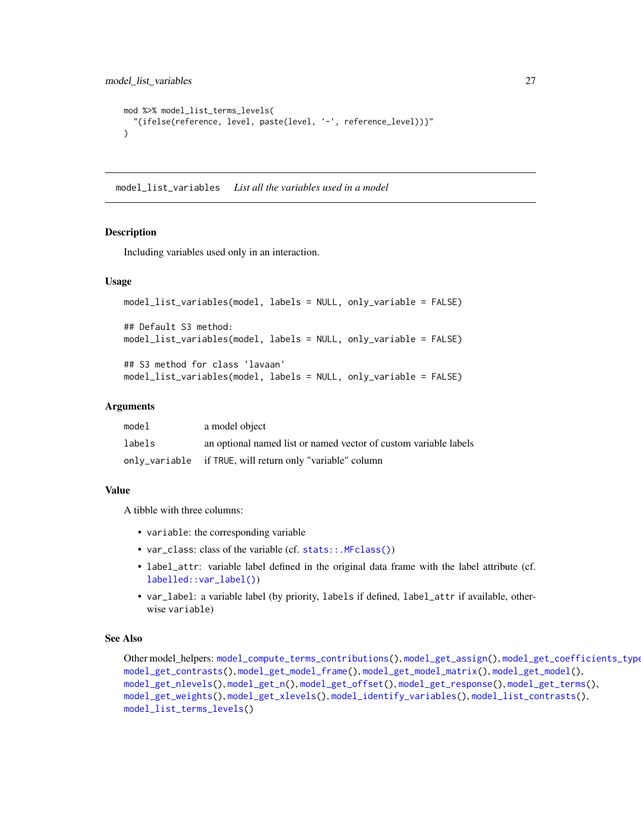```
mod %>% model_list_terms_levels(
  "{ifelse(reference, level, paste(level, '-', reference_level))}"
\mathcal{L}
```
<span id="page-26-1"></span>model\_list\_variables *List all the variables used in a model*

#### Description

Including variables used only in an interaction.

#### Usage

```
model_list_variables(model, labels = NULL, only_variable = FALSE)
## Default S3 method:
model_list_variables(model, labels = NULL, only_variable = FALSE)
## S3 method for class 'lavaan'
model_list_variables(model, labels = NULL, only_variable = FALSE)
```
#### Arguments

| model  | a model object                                                   |
|--------|------------------------------------------------------------------|
| labels | an optional named list or named vector of custom variable labels |
|        | only_variable if TRUE, will return only "variable" column        |

# Value

A tibble with three columns:

- variable: the corresponding variable
- var\_class: class of the variable (cf. [stats::.MFclass\(\)](#page-0-0))
- label\_attr: variable label defined in the original data frame with the label attribute (cf. [labelled::var\\_label\(\)](#page-0-0))
- var\_label: a variable label (by priority, labels if defined, label\_attr if available, otherwise variable)

## See Also

Other model\_helpers: [model\\_compute\\_terms\\_contributions\(](#page-6-1)), [model\\_get\\_assign\(](#page-7-1)), [model\\_get\\_coefficients\\_type\(](#page-8-1)), [model\\_get\\_contrasts\(](#page-9-1)), [model\\_get\\_model\\_frame\(](#page-11-1)), [model\\_get\\_model\\_matrix\(](#page-12-1)), [model\\_get\\_model\(](#page-10-1)), [model\\_get\\_nlevels\(](#page-15-1)), [model\\_get\\_n\(](#page-13-1)), [model\\_get\\_offset\(](#page-16-1)), [model\\_get\\_response\(](#page-17-1)), [model\\_get\\_terms\(](#page-18-1)), [model\\_get\\_weights\(](#page-19-1)), [model\\_get\\_xlevels\(](#page-20-1)), [model\\_identify\\_variables\(](#page-21-1)), [model\\_list\\_contrasts\(](#page-23-1)), [model\\_list\\_terms\\_levels\(](#page-24-1))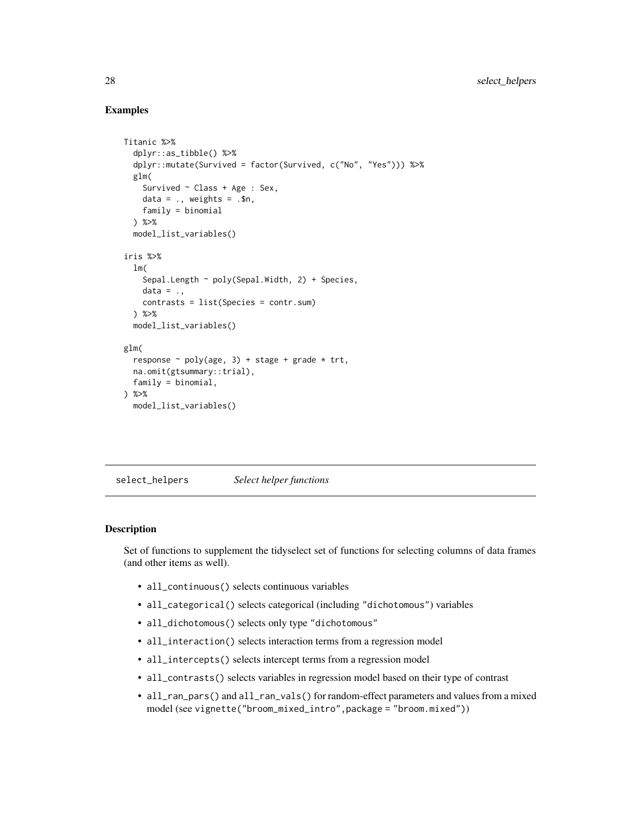## Examples

```
Titanic %>%
 dplyr::as_tibble() %>%
 dplyr::mutate(Survived = factor(Survived, c("No", "Yes"))) %>%
 glm(
    Survived ~ Class + Age : Sex,
   data = \ldots, weights = \ldots$n,
   family = binomial
 ) %>%
 model_list_variables()
iris %>%
 lm(
   Sepal.Length ~ poly(Sepal.Width, 2) + Species,
   data = \ldotscontrasts = list(Species = contr.sum)
 ) %>%
 model_list_variables()
glm(
 response \sim poly(age, 3) + stage + grade \star trt,
 na.omit(gtsummary::trial),
 family = binomial,
) %>%
 model_list_variables()
```
select\_helpers *Select helper functions*

#### <span id="page-27-1"></span>Description

Set of functions to supplement the tidyselect set of functions for selecting columns of data frames (and other items as well).

- all\_continuous() selects continuous variables
- all\_categorical() selects categorical (including "dichotomous") variables
- all\_dichotomous() selects only type "dichotomous"
- all\_interaction() selects interaction terms from a regression model
- all\_intercepts() selects intercept terms from a regression model
- all\_contrasts() selects variables in regression model based on their type of contrast
- all\_ran\_pars() and all\_ran\_vals() for random-effect parameters and values from a mixed model (see vignette("broom\_mixed\_intro",package = "broom.mixed"))

<span id="page-27-0"></span>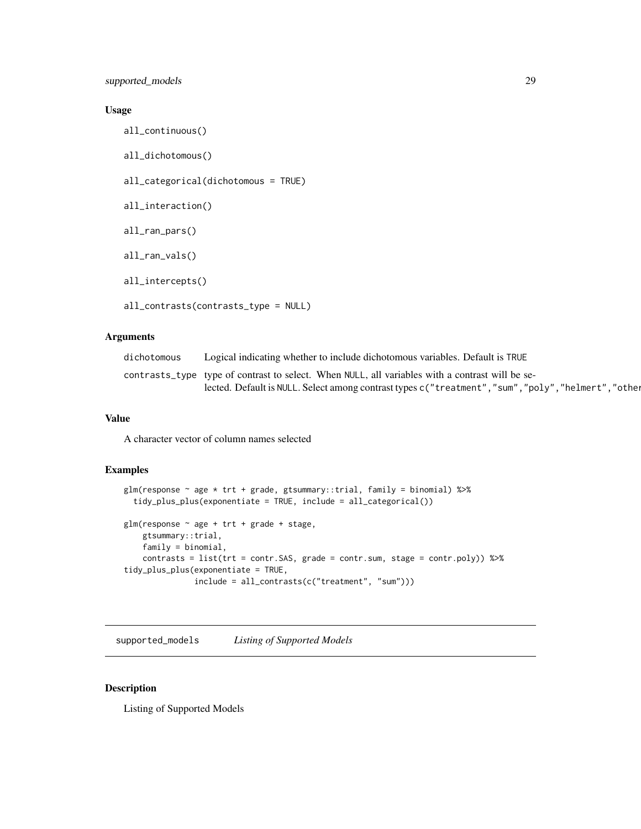# <span id="page-28-0"></span>Usage

all\_continuous() all\_dichotomous() all\_categorical(dichotomous = TRUE) all\_interaction() all\_ran\_pars() all\_ran\_vals() all\_intercepts() all\_contrasts(contrasts\_type = NULL)

#### Arguments

| dichotomous | Logical indicating whether to include dichotomous variables. Default is TRUE                     |
|-------------|--------------------------------------------------------------------------------------------------|
|             | contrasts_type type of contrast to select. When NULL, all variables with a contrast will be se-  |
|             | lected. Default is NULL. Select among contrast types c("treatment","sum","poly","helmert","other |

# Value

A character vector of column names selected

# Examples

```
glm(response ~ age * trt + grade, gtsummary::trial, family = binomial) %>%
  tidy_plus_plus(exponentiate = TRUE, include = all_categorical())
glm(response ~ age + trt + grade + stage,gtsummary::trial,
    family = binomial,
    contrasts = list(trt = contr.SAS, grade = contr.sum, stage = contr.poly)) %>%
tidy_plus_plus(exponentiate = TRUE,
               include = all_contrasts(c("treatment", "sum")))
```
supported\_models *Listing of Supported Models*

### Description

Listing of Supported Models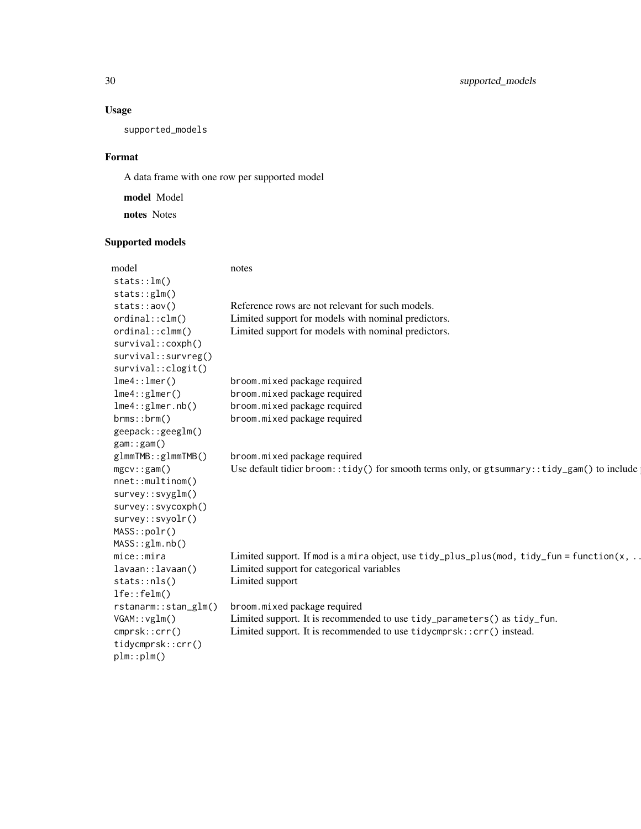# Usage

supported\_models

# Format

A data frame with one row per supported model

model Model notes Notes

# Supported models

| model                | notes                                                                                              |
|----------------------|----------------------------------------------------------------------------------------------------|
| stats::lm()          |                                                                                                    |
| stats::glm()         |                                                                                                    |
| stats::aov()         | Reference rows are not relevant for such models.                                                   |
| ordinal::clm()       | Limited support for models with nominal predictors.                                                |
| ordinal::clmm()      | Limited support for models with nominal predictors.                                                |
| survival::coxph()    |                                                                                                    |
| survival::survreg()  |                                                                                                    |
| survival::clogit()   |                                                                                                    |
| lme4::lmer()         | broom.mixed package required                                                                       |
| lme4::glmer()        | broom.mixed package required                                                                       |
| lme4::glmer.nb()     | broom.mixed package required                                                                       |
| brms::brm()          | broom.mixed package required                                                                       |
| geepack::geeglm()    |                                                                                                    |
| $gam: \text{gam}()$  |                                                                                                    |
| glmmTMB::glmmTMB()   | broom.mixed package required                                                                       |
| $mgcv$ : $gam()$     | Use default tidier broom:: tidy() for smooth terms only, or $gt$ stsummary:: tidy_gam() to include |
| nnet::multinom()     |                                                                                                    |
| survey::svyglm()     |                                                                                                    |
| survey::svycoxph()   |                                                                                                    |
| survey::svyolr()     |                                                                                                    |
| MASS::polar()        |                                                                                                    |
| MASS::glm.nb()       |                                                                                                    |
| mice: minra          | Limited support. If mod is a mira object, use tidy_plus_plus(mod, tidy_fun = function( $x$ ,       |
| lavaan::lavaan()     | Limited support for categorical variables                                                          |
| $stats: \n  nls()$   | Limited support                                                                                    |
| lfe::felm()          |                                                                                                    |
| rstanarm::stan_glm() | broom.mixed package required                                                                       |
| VGAM::vglm()         | Limited support. It is recommended to use tidy_parameters() as tidy_fun.                           |
| cmprsk::crr()        | Limited support. It is recommended to use tidycmprsk:: crr() instead.                              |
| tidycmprsk::crr()    |                                                                                                    |
| plm::plm()           |                                                                                                    |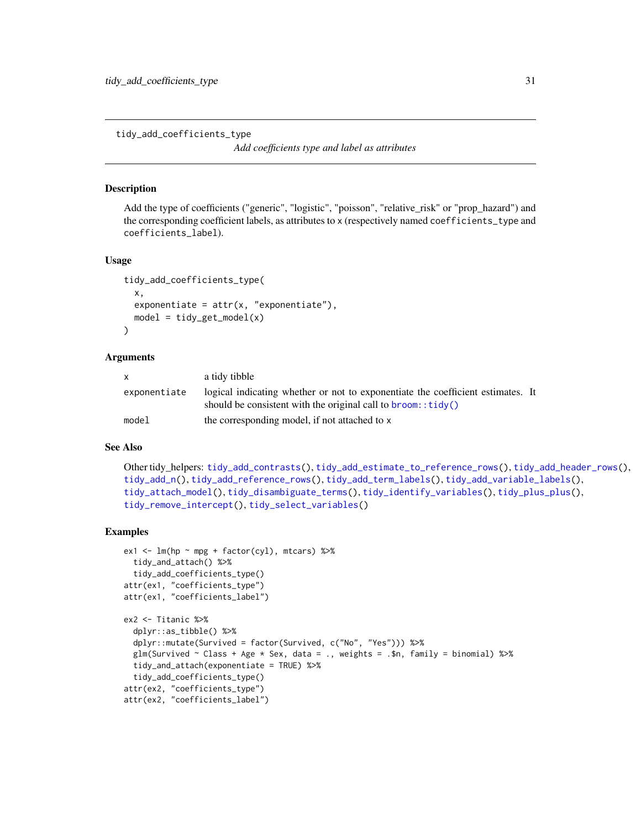<span id="page-30-1"></span><span id="page-30-0"></span>tidy\_add\_coefficients\_type

*Add coefficients type and label as attributes*

#### Description

Add the type of coefficients ("generic", "logistic", "poisson", "relative\_risk" or "prop\_hazard") and the corresponding coefficient labels, as attributes to x (respectively named coefficients\_type and coefficients\_label).

#### Usage

```
tidy_add_coefficients_type(
 x,
  exponentiate = attr(x, "exponentiate"),model = tidyget_model(x)\mathcal{L}
```
#### Arguments

| <b>X</b>     | a tidy tibble                                                                                                                                                |
|--------------|--------------------------------------------------------------------------------------------------------------------------------------------------------------|
| exponentiate | logical indicating whether or not to exponentiate the coefficient estimates. It<br>should be consistent with the original call to $b$ room:: $\text{tidy}()$ |
|              |                                                                                                                                                              |
| mode1        | the corresponding model, if not attached to x                                                                                                                |

#### See Also

```
Other tidy_helpers: tidy_add_contrasts(), tidy_add_estimate_to_reference_rows(), tidy_add_header_rows(),
tidy_add_n(), tidy_add_reference_rows(), tidy_add_term_labels(), tidy_add_variable_labels(),
tidy_attach_model(), tidy_disambiguate_terms(), tidy_identify_variables(), tidy_plus_plus(),
tidy_remove_intercept(), tidy_select_variables()
```
#### Examples

```
ex1 <- lm(hp \sim mp + factor(cyl), mtcars) %>%
 tidy_and_attach() %>%
 tidy_add_coefficients_type()
attr(ex1, "coefficients_type")
attr(ex1, "coefficients_label")
ex2 <- Titanic %>%
 dplyr::as_tibble() %>%
 dplyr::mutate(Survived = factor(Survived, c("No", "Yes"))) %>%
 glm(Survived \sim Class + Age \star Sex, data = ., weights = .$n, family = binomial) %>%
 tidy_and_attach(exponentiate = TRUE) %>%
 tidy_add_coefficients_type()
attr(ex2, "coefficients_type")
attr(ex2, "coefficients_label")
```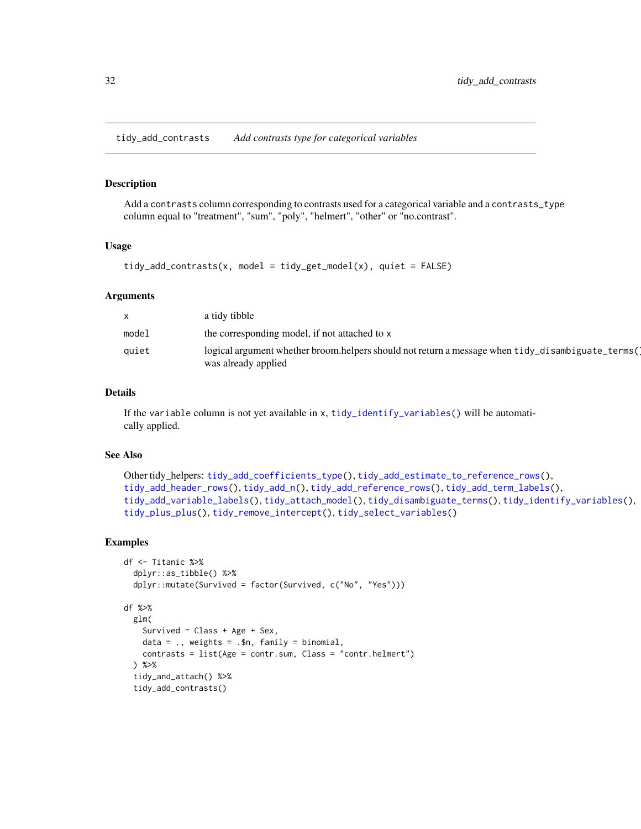<span id="page-31-1"></span><span id="page-31-0"></span>tidy\_add\_contrasts *Add contrasts type for categorical variables*

# Description

Add a contrasts column corresponding to contrasts used for a categorical variable and a contrasts\_type column equal to "treatment", "sum", "poly", "helmert", "other" or "no.contrast".

#### Usage

```
tidy\_add\_contrast(x, model = tidy\_get_model(x), quiet = FALSE)
```
#### Arguments

| $\mathsf{x}$ | a tidy tibble                                                                                                           |
|--------------|-------------------------------------------------------------------------------------------------------------------------|
| model        | the corresponding model, if not attached to x                                                                           |
| quiet        | logical argument whether broom.helpers should not return a message when tidy_disambiguate_terms(<br>was already applied |

# Details

If the variable column is not yet available in x, [tidy\\_identify\\_variables\(\)](#page-44-1) will be automatically applied.

#### See Also

```
Other tidy_helpers: tidy_add_coefficients_type(), tidy_add_estimate_to_reference_rows(),
tidy_add_header_rows(), tidy_add_n(), tidy_add_reference_rows(), tidy_add_term_labels(),
tidy_add_variable_labels(), tidy_attach_model(), tidy_disambiguate_terms(), tidy_identify_variables(),
tidy_plus_plus(), tidy_remove_intercept(), tidy_select_variables()
```
# Examples

```
df <- Titanic %>%
 dplyr::as_tibble() %>%
 dplyr::mutate(Survived = factor(Survived, c("No", "Yes")))
df %>%
 glm(
   Survived \sim Class + Age + Sex,
   data = \ldots, weights = \ldots$n, family = binomial,
    contrasts = list(Age = contr.sum, Class = "contr.helmert")
 ) %>%
 tidy_and_attach() %>%
 tidy_add_contrasts()
```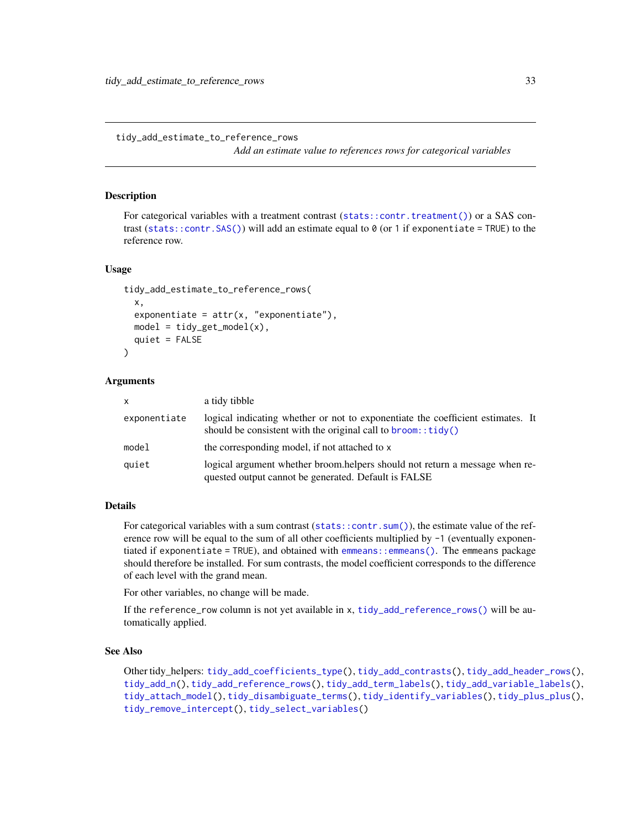<span id="page-32-1"></span><span id="page-32-0"></span>tidy\_add\_estimate\_to\_reference\_rows

*Add an estimate value to references rows for categorical variables*

#### Description

For categorical variables with a treatment contrast ([stats::contr.treatment\(\)](#page-0-0)) or a SAS contrast ([stats::contr.SAS\(\)](#page-0-0)) will add an estimate equal to  $\theta$  (or 1 if exponentiate = TRUE) to the reference row.

#### Usage

```
tidy_add_estimate_to_reference_rows(
  x,
 exponentiate = attr(x, "exponentiate"),model = tidyget_model(x),
 quiet = FALSE
)
```
#### Arguments

| $\mathsf{x}$ | a tidy tibble                                                                                                                                                |
|--------------|--------------------------------------------------------------------------------------------------------------------------------------------------------------|
| exponentiate | logical indicating whether or not to exponentiate the coefficient estimates. It<br>should be consistent with the original call to $b$ room:: $\text{tidy}()$ |
| model        | the corresponding model, if not attached to x                                                                                                                |
| quiet        | logical argument whether broom helpers should not return a message when re-<br>quested output cannot be generated. Default is FALSE                          |

# Details

For categorical variables with a sum contrast ([stats::contr.sum\(\)](#page-0-0)), the estimate value of the reference row will be equal to the sum of all other coefficients multiplied by  $-1$  (eventually exponentiated if exponentiate = TRUE), and obtained with [emmeans::emmeans\(\)](#page-0-0). The emmeans package should therefore be installed. For sum contrasts, the model coefficient corresponds to the difference of each level with the grand mean.

For other variables, no change will be made.

If the reference\_row column is not yet available in x, [tidy\\_add\\_reference\\_rows\(\)](#page-37-1) will be automatically applied.

#### See Also

Other tidy\_helpers: [tidy\\_add\\_coefficients\\_type\(](#page-30-1)), [tidy\\_add\\_contrasts\(](#page-31-1)), [tidy\\_add\\_header\\_rows\(](#page-33-1)), [tidy\\_add\\_n\(](#page-35-1)), [tidy\\_add\\_reference\\_rows\(](#page-37-1)), [tidy\\_add\\_term\\_labels\(](#page-39-1)), [tidy\\_add\\_variable\\_labels\(](#page-40-1)), [tidy\\_attach\\_model\(](#page-42-1)), [tidy\\_disambiguate\\_terms\(](#page-43-1)), [tidy\\_identify\\_variables\(](#page-44-1)), [tidy\\_plus\\_plus\(](#page-46-1)), [tidy\\_remove\\_intercept\(](#page-50-1)), [tidy\\_select\\_variables\(](#page-50-2))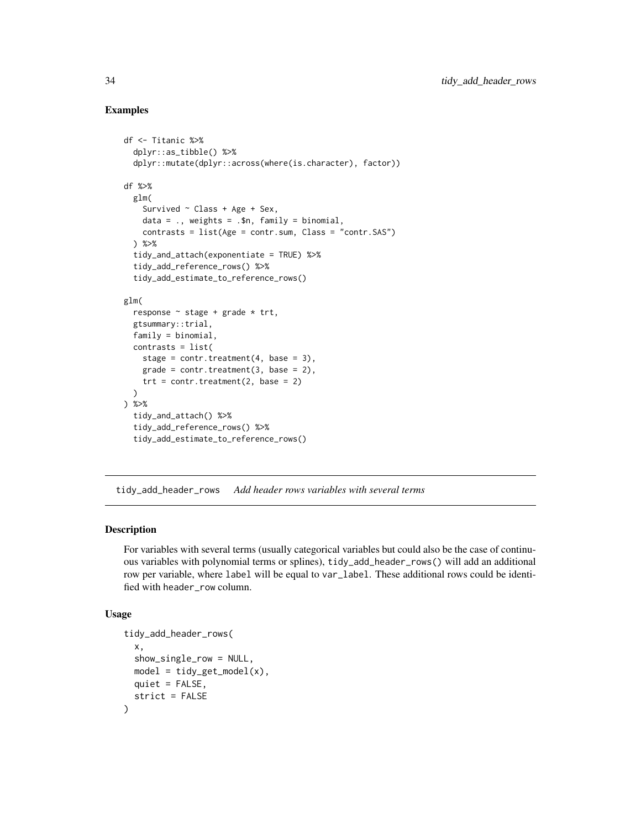#### Examples

```
df <- Titanic %>%
 dplyr::as_tibble() %>%
 dplyr::mutate(dplyr::across(where(is.character), factor))
df %>%
 glm(
    Survived \sim Class + Age + Sex,
    data = \ldots weights = \ldots$n, family = binomial,
    contrasts = list(Age = contr.sum, Class = "contr.SAS")
 ) %>%
 tidy_and_attach(exponentiate = TRUE) %>%
 tidy_add_reference_rows() %>%
 tidy_add_estimate_to_reference_rows()
glm(
 response \sim stage + grade \star trt,
 gtsummary::trial,
 family = binomial,
 contrasts = list(
   stage = contr.treatment(4, base = 3),
    grade = contr.treatment(3, base = 2),
    trt = contr.treatment(2, base = 2))
) %>%
 tidy_and_attach() %>%
 tidy_add_reference_rows() %>%
 tidy_add_estimate_to_reference_rows()
```
<span id="page-33-1"></span>tidy\_add\_header\_rows *Add header rows variables with several terms*

#### Description

For variables with several terms (usually categorical variables but could also be the case of continuous variables with polynomial terms or splines), tidy\_add\_header\_rows() will add an additional row per variable, where label will be equal to var\_label. These additional rows could be identified with header\_row column.

#### Usage

```
tidy_add_header_rows(
  x,
  show_single_row = NULL,
 model = tidyget_model(x),
 quiet = FALSE,
  strict = FALSE
)
```
<span id="page-33-0"></span>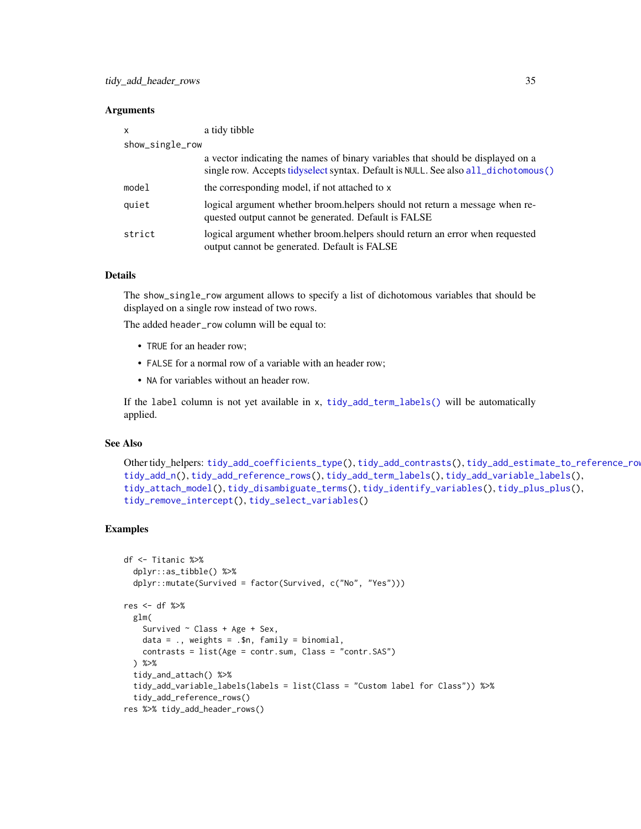#### <span id="page-34-0"></span>**Arguments**

| X               | a tidy tibble                                                                                                                                                         |
|-----------------|-----------------------------------------------------------------------------------------------------------------------------------------------------------------------|
| show_single_row |                                                                                                                                                                       |
|                 | a vector indicating the names of binary variables that should be displayed on a<br>single row. Accepts tidyselect syntax. Default is NULL. See also all_dichotomous() |
| model           | the corresponding model, if not attached to x                                                                                                                         |
| quiet           | logical argument whether broom.helpers should not return a message when re-<br>quested output cannot be generated. Default is FALSE                                   |
| strict          | logical argument whether broom.helpers should return an error when requested<br>output cannot be generated. Default is FALSE                                          |

# Details

The show\_single\_row argument allows to specify a list of dichotomous variables that should be displayed on a single row instead of two rows.

The added header\_row column will be equal to:

- TRUE for an header row;
- FALSE for a normal row of a variable with an header row;
- NA for variables without an header row.

If the label column is not yet available in x, [tidy\\_add\\_term\\_labels\(\)](#page-39-1) will be automatically applied.

# See Also

```
Other tidy_helpers: tidy_add_coefficients_type(), tidy_add_contrasts(), tidy_add_estimate_to_reference_rows(),
tidy_add_n(), tidy_add_reference_rows(), tidy_add_term_labels(), tidy_add_variable_labels(),
tidy_attach_model(), tidy_disambiguate_terms(), tidy_identify_variables(), tidy_plus_plus(),
tidy_remove_intercept(), tidy_select_variables()
```
#### Examples

```
df <- Titanic %>%
 dplyr::as_tibble() %>%
 dplyr::mutate(Survived = factor(Survived, c("No", "Yes")))
res <- df %>%
 glm(
    Survived \sim Class + Age + Sex,
   data = \ldots, weights = \ldots$n, family = binomial,
    contrasts = list(Age = contr.sum, Class = "contr.SAS")
 ) %>%
 tidy_and_attach() %>%
 tidy_add_variable_labels(labels = list(Class = "Custom label for Class")) %>%
 tidy_add_reference_rows()
res %>% tidy_add_header_rows()
```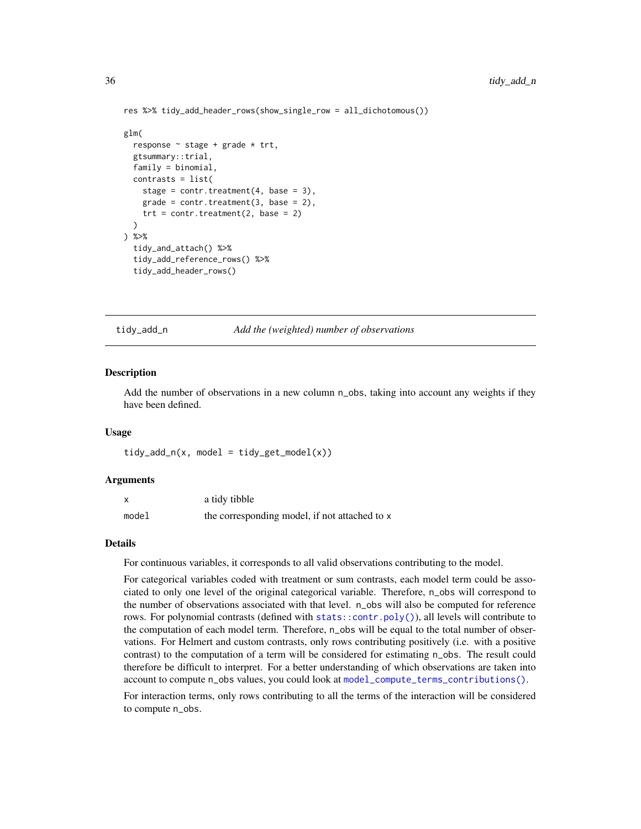```
res %>% tidy_add_header_rows(show_single_row = all_dichotomous())
glm(
 response \sim stage + grade \star trt,
 gtsummary::trial,
 family = binomial,
 contrasts = list(
   stage = contr.treatment(4, base = 3),
   grade = contr.treatment(3, base = 2),
   trt = contr.treatment(2, base = 2))
) %>%
  tidy_and_attach() %>%
  tidy_add_reference_rows() %>%
 tidy_add_header_rows()
```
<span id="page-35-1"></span>tidy\_add\_n *Add the (weighted) number of observations*

#### **Description**

Add the number of observations in a new column n\_obs, taking into account any weights if they have been defined.

#### Usage

 $tidy\_add_n(x, model = tidy_set_model(x))$ 

#### Arguments

|       | a tidy tibble                                 |
|-------|-----------------------------------------------|
| model | the corresponding model, if not attached to x |

#### Details

For continuous variables, it corresponds to all valid observations contributing to the model.

For categorical variables coded with treatment or sum contrasts, each model term could be associated to only one level of the original categorical variable. Therefore, n\_obs will correspond to the number of observations associated with that level. n\_obs will also be computed for reference rows. For polynomial contrasts (defined with [stats::contr.poly\(\)](#page-0-0)), all levels will contribute to the computation of each model term. Therefore, n\_obs will be equal to the total number of observations. For Helmert and custom contrasts, only rows contributing positively (i.e. with a positive contrast) to the computation of a term will be considered for estimating n\_obs. The result could therefore be difficult to interpret. For a better understanding of which observations are taken into account to compute n\_obs values, you could look at [model\\_compute\\_terms\\_contributions\(\)](#page-6-1).

For interaction terms, only rows contributing to all the terms of the interaction will be considered to compute n\_obs.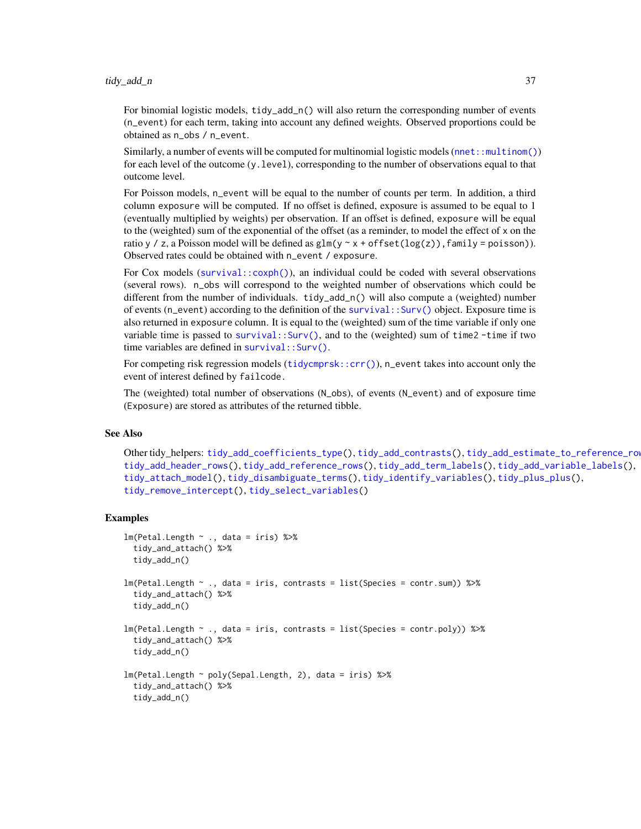<span id="page-36-0"></span>For binomial logistic models, tidy\_add\_n() will also return the corresponding number of events (n\_event) for each term, taking into account any defined weights. Observed proportions could be obtained as n\_obs / n\_event.

Similarly, a number of events will be computed for multinomial logistic models ([nnet::multinom\(\)](#page-0-0)) for each level of the outcome (y.level), corresponding to the number of observations equal to that outcome level.

For Poisson models, n\_event will be equal to the number of counts per term. In addition, a third column exposure will be computed. If no offset is defined, exposure is assumed to be equal to 1 (eventually multiplied by weights) per observation. If an offset is defined, exposure will be equal to the (weighted) sum of the exponential of the offset (as a reminder, to model the effect of x on the ratio y / z, a Poisson model will be defined as  $glm(y \sim x + \text{offset}(\log(z))$ , family = poisson)). Observed rates could be obtained with n\_event / exposure.

For Cox models ([survival::coxph\(\)](#page-0-0)), an individual could be coded with several observations (several rows). n\_obs will correspond to the weighted number of observations which could be different from the number of individuals. tidy\_add\_n() will also compute a (weighted) number of events (n\_event) according to the definition of the [survival::Surv\(\)](#page-0-0) object. Exposure time is also returned in exposure column. It is equal to the (weighted) sum of the time variable if only one variable time is passed to survival:: $Surv()$ , and to the (weighted) sum of time2 -time if two time variables are defined in [survival::Surv\(\)](#page-0-0).

For competing risk regression models (tidycmprsk:: $\text{crr}(\cdot)$ ), n\_event takes into account only the event of interest defined by failcode.

The (weighted) total number of observations (N\_obs), of events (N\_event) and of exposure time (Exposure) are stored as attributes of the returned tibble.

#### See Also

Other tidy\_helpers: [tidy\\_add\\_coefficients\\_type\(](#page-30-1)), [tidy\\_add\\_contrasts\(](#page-31-1)), [tidy\\_add\\_estimate\\_to\\_reference\\_rows\(](#page-32-1)), [tidy\\_add\\_header\\_rows\(](#page-33-1)), [tidy\\_add\\_reference\\_rows\(](#page-37-1)), [tidy\\_add\\_term\\_labels\(](#page-39-1)), [tidy\\_add\\_variable\\_labels\(](#page-40-1)), [tidy\\_attach\\_model\(](#page-42-1)), [tidy\\_disambiguate\\_terms\(](#page-43-1)), [tidy\\_identify\\_variables\(](#page-44-1)), [tidy\\_plus\\_plus\(](#page-46-1)), [tidy\\_remove\\_intercept\(](#page-50-1)), [tidy\\_select\\_variables\(](#page-50-2))

#### Examples

```
lm(Petal.length ~ ., data = iris) %>%
 tidy_and_attach() %>%
 tidy_add_n()
lm(Petal.Length ~ ., data = iris, contrasts = list(Species = contr.sum)) %>%
  tidy_and_attach() %>%
 tidy_add_n()
lm(Petal.length ~ ., data = iris, contrasts = list(Species = contr.poly)) %\ggtidy_and_attach() %>%
  tidy_add_n()
lm(Petal.Length ~ poly(Sepal.Length, 2), data = iris) %>%
 tidy_and_attach() %>%
 tidy_add_n()
```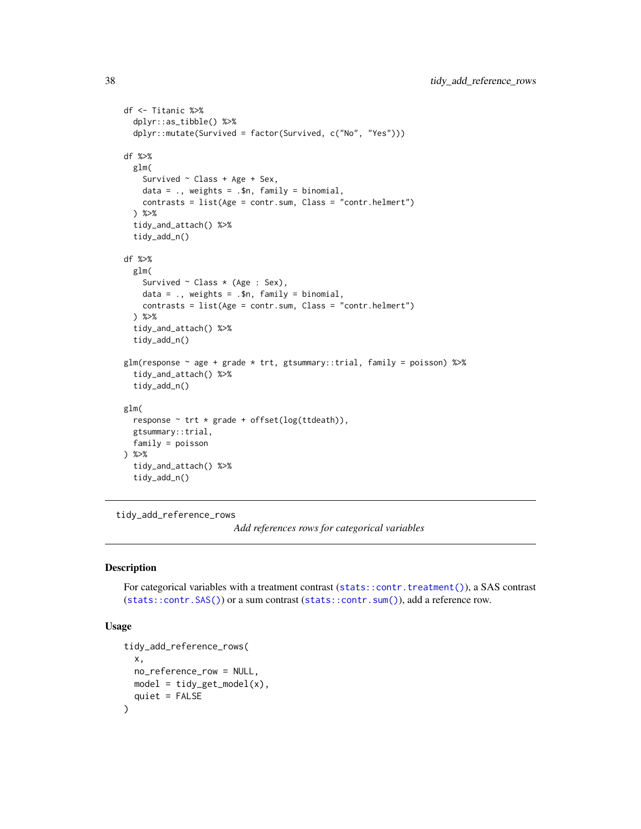```
df <- Titanic %>%
 dplyr::as_tibble() %>%
 dplyr::mutate(Survived = factor(Survived, c("No", "Yes")))
df %>%
 glm(
   Survived \sim Class + Age + Sex,
   data = \ldots, weights = \ldots$n, family = binomial,
   contrasts = list(Age = contr.sum, Class = "contr.helmert")
 ) %>%
 tidy_and_attach() %>%
 tidy_add_n()
df %>%
 glm(
   Survived ~ Class * (Age : Sex),
   data = ., weights = .$n, family = binomial,
   contrasts = list(Age = contr.sum, Class = "contr.helmert")
 ) %>%
 tidy_and_attach() %>%
 tidy_add_n()
glm(response ~ age + grade * trt, gtsummary::trial, family = poisson) %>%
 tidy_and_attach() %>%
 tidy_add_n()
glm(
 response ~ trt * grade + offset(log(ttdeath)),
 gtsummary::trial,
 family = poisson
) %>%
 tidy_and_attach() %>%
 tidy_add_n()
```
<span id="page-37-1"></span>tidy\_add\_reference\_rows

*Add references rows for categorical variables*

# Description

For categorical variables with a treatment contrast ([stats::contr.treatment\(\)](#page-0-0)), a SAS contrast ([stats::contr.SAS\(\)](#page-0-0)) or a sum contrast ([stats::contr.sum\(\)](#page-0-0)), add a reference row.

# Usage

```
tidy_add_reference_rows(
 x,
 no_reference_row = NULL,
 model = tidy_set_model(x),
  quiet = FALSE
)
```
<span id="page-37-0"></span>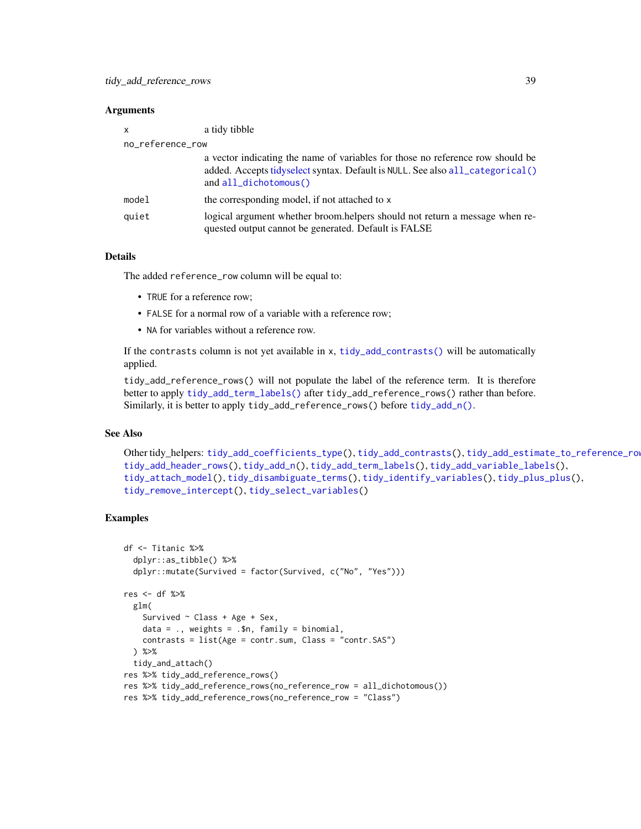#### <span id="page-38-0"></span>**Arguments**

| x                | a tidy tibble                                                                                                                                                                            |  |
|------------------|------------------------------------------------------------------------------------------------------------------------------------------------------------------------------------------|--|
| no_reference_row |                                                                                                                                                                                          |  |
|                  | a vector indicating the name of variables for those no reference row should be<br>added. Accepts tidyselect syntax. Default is NULL. See also all_categorical()<br>and all_dichotomous() |  |
| model            | the corresponding model, if not attached to x                                                                                                                                            |  |
| quiet            | logical argument whether broom.helpers should not return a message when re-<br>quested output cannot be generated. Default is FALSE                                                      |  |

#### Details

The added reference\_row column will be equal to:

- TRUE for a reference row;
- FALSE for a normal row of a variable with a reference row;
- NA for variables without a reference row.

If the contrasts column is not yet available in x, [tidy\\_add\\_contrasts\(\)](#page-31-1) will be automatically applied.

tidy\_add\_reference\_rows() will not populate the label of the reference term. It is therefore better to apply [tidy\\_add\\_term\\_labels\(\)](#page-39-1) after tidy\_add\_reference\_rows() rather than before. Similarly, it is better to apply tidy\_add\_reference\_rows() before [tidy\\_add\\_n\(\)](#page-35-1).

#### See Also

```
Other tidy_helpers: tidy_add_coefficients_type(), tidy_add_contrasts(), tidy_add_estimate_to_reference_rows(),
tidy_add_header_rows(), tidy_add_n(), tidy_add_term_labels(), tidy_add_variable_labels(),
tidy_attach_model(), tidy_disambiguate_terms(), tidy_identify_variables(), tidy_plus_plus(),
tidy_remove_intercept(), tidy_select_variables()
```
# Examples

```
df <- Titanic %>%
 dplyr::as_tibble() %>%
 dplyr::mutate(Survived = factor(Survived, c("No", "Yes")))
res <- df %>%
 glm(
   Survived \sim Class + Age + Sex,
   data = ., weights = .$n, family = binomial,
   contrasts = list(Age = contr.sum, Class = "contr.SAS")
 ) %>%
 tidy_and_attach()
res %>% tidy_add_reference_rows()
res %>% tidy_add_reference_rows(no_reference_row = all_dichotomous())
res %>% tidy_add_reference_rows(no_reference_row = "Class")
```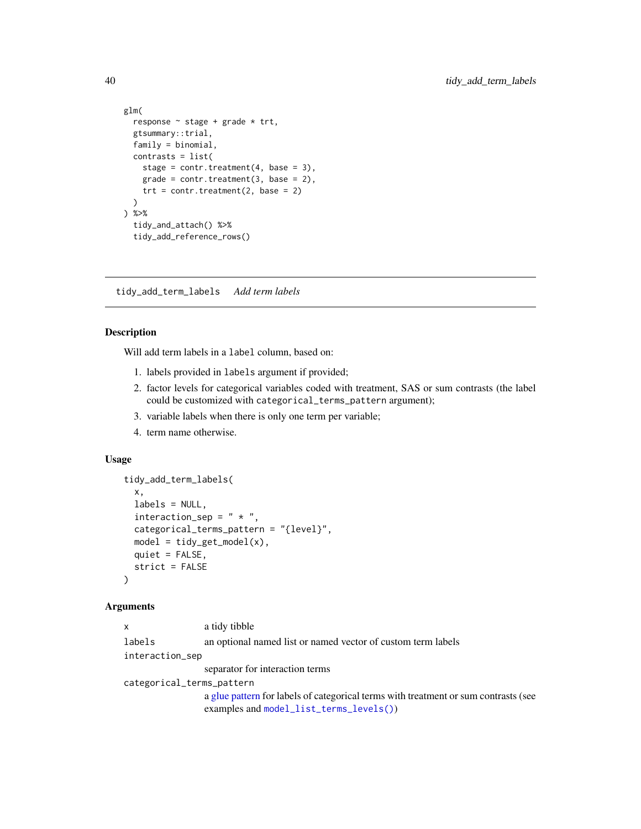```
glm(
  response ~ stage + grade * trt,
  gtsummary::trial,
  family = binomial,
  contrasts = list(
   stage = contr.treatment(4, base = 3),
   grade = contr.treatment(3, base = 2),
   trt = contr.treatment(2, base = 2)\lambda) %>%
  tidy_and_attach() %>%
  tidy_add_reference_rows()
```
<span id="page-39-1"></span>tidy\_add\_term\_labels *Add term labels*

### Description

Will add term labels in a label column, based on:

- 1. labels provided in labels argument if provided;
- 2. factor levels for categorical variables coded with treatment, SAS or sum contrasts (the label could be customized with categorical\_terms\_pattern argument);
- 3. variable labels when there is only one term per variable;
- 4. term name otherwise.

# Usage

```
tidy_add_term_labels(
 x,
  labels = NULL,interaction\_sep = " * ",
  categorical_terms_pattern = "{level}",
 model = tidyget_model(x),
 quiet = FALSE,
  strict = FALSE
)
```
#### Arguments

```
x a tidy tibble
labels an optional named list or named vector of custom term labels
interaction_sep
                separator for interaction terms
categorical_terms_pattern
                a glue pattern for labels of categorical terms with treatment or sum contrasts (see
                examples and model_list_terms_levels())
```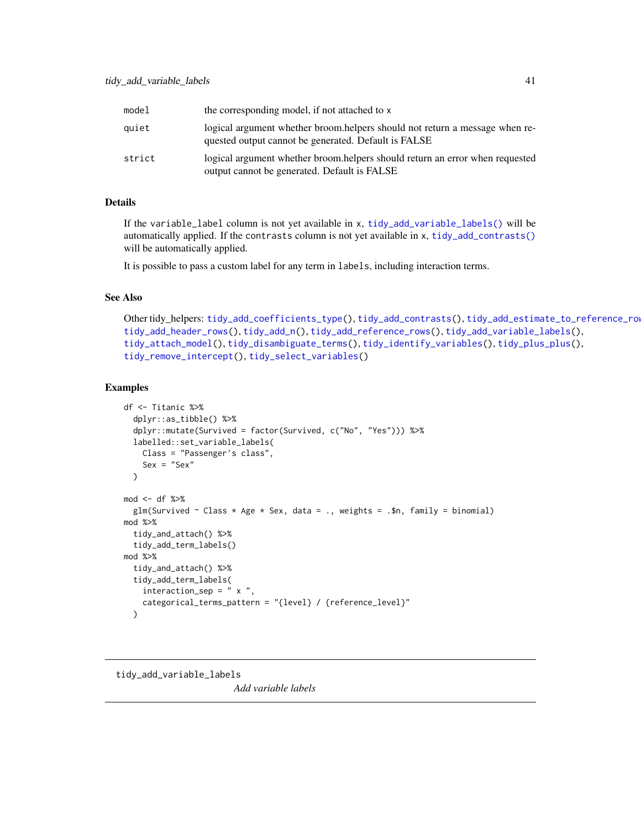<span id="page-40-0"></span>

| model  | the corresponding model, if not attached to x                                                                                        |
|--------|--------------------------------------------------------------------------------------------------------------------------------------|
| quiet  | logical argument whether broom. helpers should not return a message when re-<br>quested output cannot be generated. Default is FALSE |
| strict | logical argument whether broom helpers should return an error when requested<br>output cannot be generated. Default is FALSE         |

# Details

If the variable\_label column is not yet available in x, [tidy\\_add\\_variable\\_labels\(\)](#page-40-1) will be automatically applied. If the contrasts column is not yet available in x, [tidy\\_add\\_contrasts\(\)](#page-31-1) will be automatically applied.

It is possible to pass a custom label for any term in labels, including interaction terms.

# See Also

```
Other tidy_helpers: tidy_add_coefficients_type(), tidy_add_contrasts(), tidy_add_estimate_to_reference_rows(),
tidy_add_header_rows(), tidy_add_n(), tidy_add_reference_rows(), tidy_add_variable_labels(),
tidy_attach_model(), tidy_disambiguate_terms(), tidy_identify_variables(), tidy_plus_plus(),
tidy_remove_intercept(), tidy_select_variables()
```
#### Examples

```
df <- Titanic %>%
  dplyr::as_tibble() %>%
  dplyr::mutate(Survived = factor(Survived, c("No", "Yes"))) %>%
  labelled::set_variable_labels(
    Class = "Passenger's class",
    Sex = "Sex"\lambdamod < -df %>>glm(Survived \sim Class \star Age \star Sex, data = ., weights = .$n, family = binomial)
mod %>%
  tidy_and_attach() %>%
  tidy_add_term_labels()
mod %>%
  tidy_and_attach() %>%
  tidy_add_term_labels(
    interaction\_sep = " x",categorical_terms_pattern = "{level} / {reference_level}"
  )
```
<span id="page-40-1"></span>tidy\_add\_variable\_labels *Add variable labels*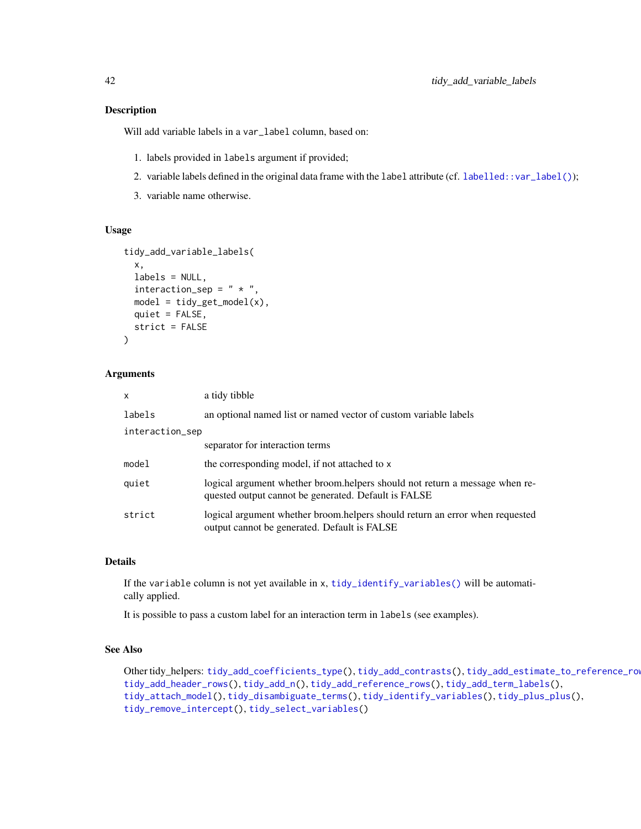#### Description

Will add variable labels in a var\_label column, based on:

- 1. labels provided in labels argument if provided;
- 2. variable labels defined in the original data frame with the label attribute (cf. [labelled::var\\_label\(\)](#page-0-0));
- 3. variable name otherwise.

# Usage

```
tidy_add_variable_labels(
  x,
  labels = NULL,
  interaction\_sep = " * ",
  model = tidy_set_model(x),
  quiet = FALSE,
  strict = FALSE
\mathcal{L}
```
# Arguments

| x               | a tidy tibble                                                                                                                       |  |
|-----------------|-------------------------------------------------------------------------------------------------------------------------------------|--|
| labels          | an optional named list or named vector of custom variable labels                                                                    |  |
| interaction_sep |                                                                                                                                     |  |
|                 | separator for interaction terms                                                                                                     |  |
| model           | the corresponding model, if not attached to x                                                                                       |  |
| quiet           | logical argument whether broom.helpers should not return a message when re-<br>quested output cannot be generated. Default is FALSE |  |
| strict          | logical argument whether broom.helpers should return an error when requested<br>output cannot be generated. Default is FALSE        |  |

# Details

If the variable column is not yet available in x, [tidy\\_identify\\_variables\(\)](#page-44-1) will be automatically applied.

It is possible to pass a custom label for an interaction term in labels (see examples).

#### See Also

Other tidy\_helpers: [tidy\\_add\\_coefficients\\_type\(](#page-30-1)), [tidy\\_add\\_contrasts\(](#page-31-1)), [tidy\\_add\\_estimate\\_to\\_reference\\_rows\(](#page-32-1)), [tidy\\_add\\_header\\_rows\(](#page-33-1)), [tidy\\_add\\_n\(](#page-35-1)), [tidy\\_add\\_reference\\_rows\(](#page-37-1)), [tidy\\_add\\_term\\_labels\(](#page-39-1)), [tidy\\_attach\\_model\(](#page-42-1)), [tidy\\_disambiguate\\_terms\(](#page-43-1)), [tidy\\_identify\\_variables\(](#page-44-1)), [tidy\\_plus\\_plus\(](#page-46-1)), [tidy\\_remove\\_intercept\(](#page-50-1)), [tidy\\_select\\_variables\(](#page-50-2))

<span id="page-41-0"></span>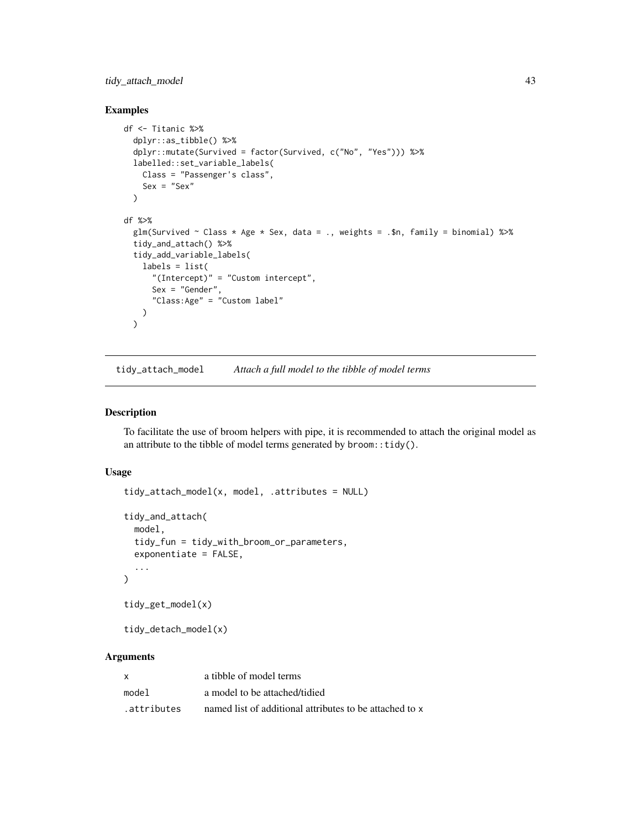<span id="page-42-0"></span>tidy\_attach\_model 43

#### Examples

```
df <- Titanic %>%
  dplyr::as_tibble() %>%
  dplyr::mutate(Survived = factor(Survived, c("No", "Yes"))) %>%
  labelled::set_variable_labels(
    Class = "Passenger's class",
    Sex = "Sex"\lambdadf %>%
  glm(Survived \sim Class * Age * Sex, data = ., weights = .$n, family = binomial) %>%
  tidy_and_attach() %>%
  tidy_add_variable_labels(
    labels = list(
      "(Intercept)" = "Custom intercept",
      Sex = "Gender",
      "Class:Age" = "Custom label"
    )
  \lambda
```
<span id="page-42-1"></span>tidy\_attach\_model *Attach a full model to the tibble of model terms*

#### <span id="page-42-2"></span>Description

To facilitate the use of broom helpers with pipe, it is recommended to attach the original model as an attribute to the tibble of model terms generated by  $b$ room::tidy().

# Usage

```
tidy_attach_model(x, model, .attributes = NULL)
tidy_and_attach(
 model,
  tidy_fun = tidy_with_broom_or_parameters,
 exponentiate = FALSE,
  ...
\mathcal{L}tidy_get_model(x)
```
tidy\_detach\_model(x)

#### Arguments

| x           | a tibble of model terms                                 |
|-------------|---------------------------------------------------------|
| model       | a model to be attached/tidied                           |
| .attributes | named list of additional attributes to be attached to x |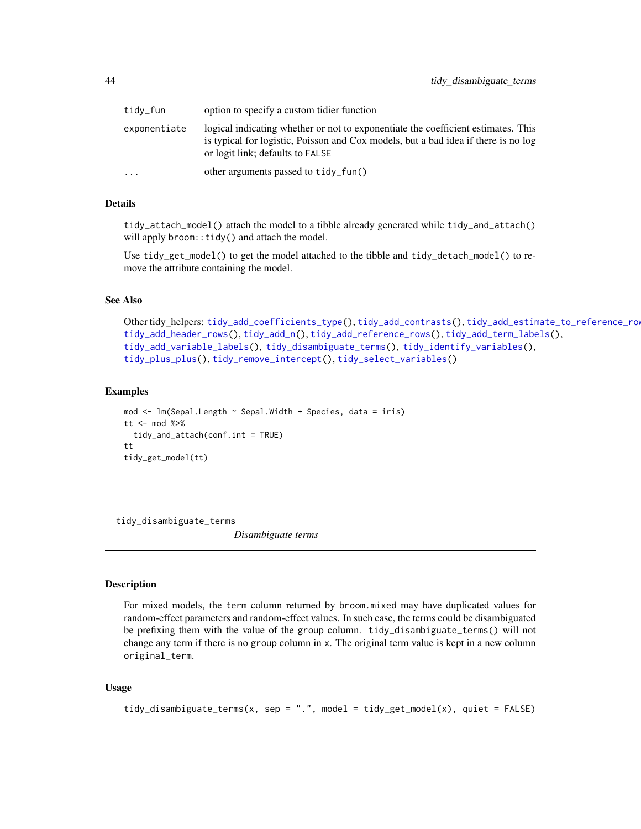<span id="page-43-0"></span>

| tidy_fun     | option to specify a custom tidier function                                                                                                                                                                  |
|--------------|-------------------------------------------------------------------------------------------------------------------------------------------------------------------------------------------------------------|
| exponentiate | logical indicating whether or not to exponentiate the coefficient estimates. This<br>is typical for logistic, Poisson and Cox models, but a bad idea if there is no log<br>or logit link; defaults to FALSE |
| $\ddots$     | other arguments passed to tidy_fun()                                                                                                                                                                        |

#### Details

tidy\_attach\_model() attach the model to a tibble already generated while tidy\_and\_attach() will apply broom:: tidy() and attach the model.

Use tidy\_get\_model() to get the model attached to the tibble and tidy\_detach\_model() to remove the attribute containing the model.

#### See Also

```
Other tidy_helpers: tidy_add_coefficients_type(), tidy_add_contrasts(), tidy_add_estimate_to_reference_rows(),
tidy_add_header_rows(), tidy_add_n(), tidy_add_reference_rows(), tidy_add_term_labels(),
tidy_add_variable_labels(), tidy_disambiguate_terms(), tidy_identify_variables(),
tidy_plus_plus(), tidy_remove_intercept(), tidy_select_variables()
```
#### Examples

```
mod \leq lm(Sepal.Length \sim Sepal.Width + Species, data = iris)
tt \leq mod %\gg%
  tidy_and_attach(conf.int = TRUE)
tt
tidy_get_model(tt)
```
<span id="page-43-1"></span>tidy\_disambiguate\_terms

*Disambiguate terms*

#### Description

For mixed models, the term column returned by broom.mixed may have duplicated values for random-effect parameters and random-effect values. In such case, the terms could be disambiguated be prefixing them with the value of the group column. tidy\_disambiguate\_terms() will not change any term if there is no group column in x. The original term value is kept in a new column original\_term.

#### Usage

```
tidy_disambiguate_terms(x, sep = ".", model = tidy_get_model(x), quiet = FALSE)
```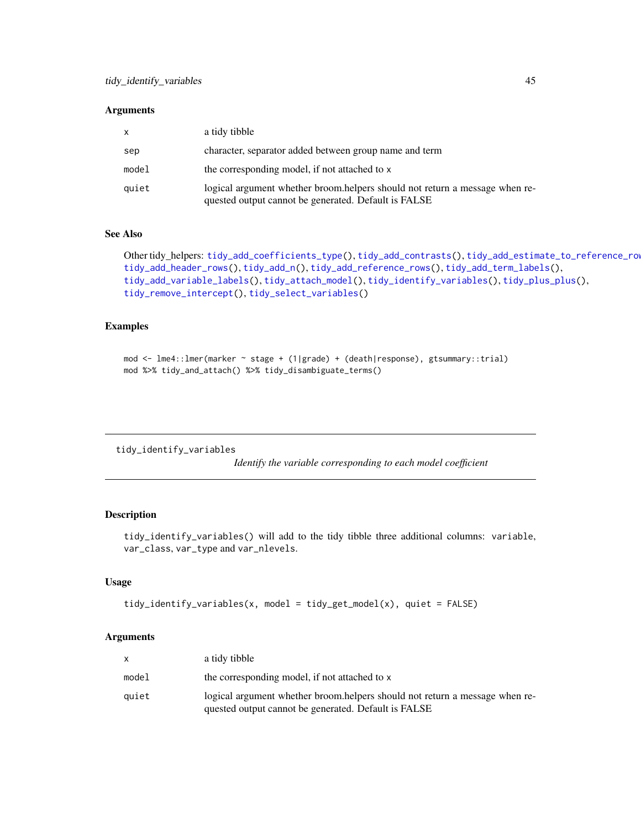#### <span id="page-44-0"></span>**Arguments**

| X.    | a tidy tibble                                                                                                                       |
|-------|-------------------------------------------------------------------------------------------------------------------------------------|
| sep   | character, separator added between group name and term                                                                              |
| model | the corresponding model, if not attached to x                                                                                       |
| quiet | logical argument whether broom helpers should not return a message when re-<br>quested output cannot be generated. Default is FALSE |

#### See Also

```
Other tidy_helpers: tidy_add_coefficients_type(), tidy_add_contrasts(), tidy_add_estimate_to_reference_rows(),
tidy_add_header_rows(), tidy_add_n(), tidy_add_reference_rows(), tidy_add_term_labels(),
tidy_add_variable_labels(), tidy_attach_model(), tidy_identify_variables(), tidy_plus_plus(),
tidy_remove_intercept(), tidy_select_variables()
```
## Examples

```
mod <- lme4::lmer(marker ~ stage + (1|grade) + (death|response), gtsummary::trial)
mod %>% tidy_and_attach() %>% tidy_disambiguate_terms()
```
<span id="page-44-1"></span>tidy\_identify\_variables

*Identify the variable corresponding to each model coefficient*

# Description

tidy\_identify\_variables() will add to the tidy tibble three additional columns: variable, var\_class, var\_type and var\_nlevels.

# Usage

```
tidy_identify_variables(x, model = tidy_get_model(x), quiet = FALSE)
```
#### Arguments

| a tidy tibble                                                                                                                        |
|--------------------------------------------------------------------------------------------------------------------------------------|
| the corresponding model, if not attached to x                                                                                        |
| logical argument whether broom, helpers should not return a message when re-<br>quested output cannot be generated. Default is FALSE |
|                                                                                                                                      |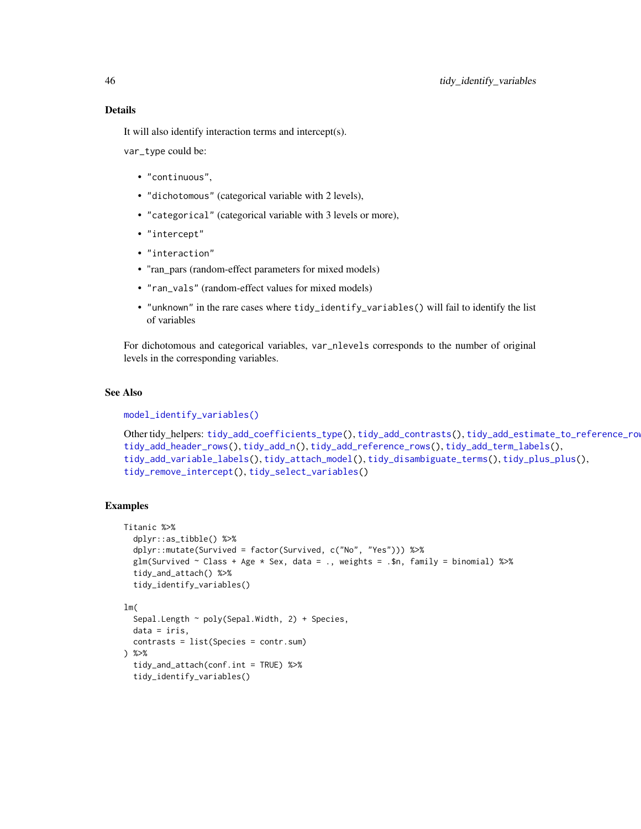<span id="page-45-0"></span>It will also identify interaction terms and intercept(s).

var\_type could be:

- "continuous",
- "dichotomous" (categorical variable with 2 levels),
- "categorical" (categorical variable with 3 levels or more),
- "intercept"
- "interaction"
- "ran\_pars (random-effect parameters for mixed models)
- "ran\_vals" (random-effect values for mixed models)
- "unknown" in the rare cases where tidy\_identify\_variables() will fail to identify the list of variables

For dichotomous and categorical variables, var\_nlevels corresponds to the number of original levels in the corresponding variables.

# See Also

[model\\_identify\\_variables\(\)](#page-21-1)

```
Other tidy_helpers: tidy_add_coefficients_type(), tidy_add_contrasts(), tidy_add_estimate_to_reference_rows(),
tidy_add_header_rows(), tidy_add_n(), tidy_add_reference_rows(), tidy_add_term_labels(),
tidy_add_variable_labels(), tidy_attach_model(), tidy_disambiguate_terms(), tidy_plus_plus(),
tidy_remove_intercept(), tidy_select_variables()
```
# Examples

```
Titanic %>%
  dplyr::as_tibble() %>%
  dplyr::mutate(Survived = factor(Survived, c("No", "Yes"))) %>%
  glm(Survived \sim Class + Age \star Sex, data = ., weights = .$n, family = binomial) %>%
  tidy_and_attach() %>%
  tidy_identify_variables()
lm(
  Sepal.Length \sim poly(Sepal.Width, 2) + Species,
  data = iris,
  contrasts = list(Species = contr.sum)
) %>%
  tidy_and_attach(conf.int = TRUE) %>%
  tidy_identify_variables()
```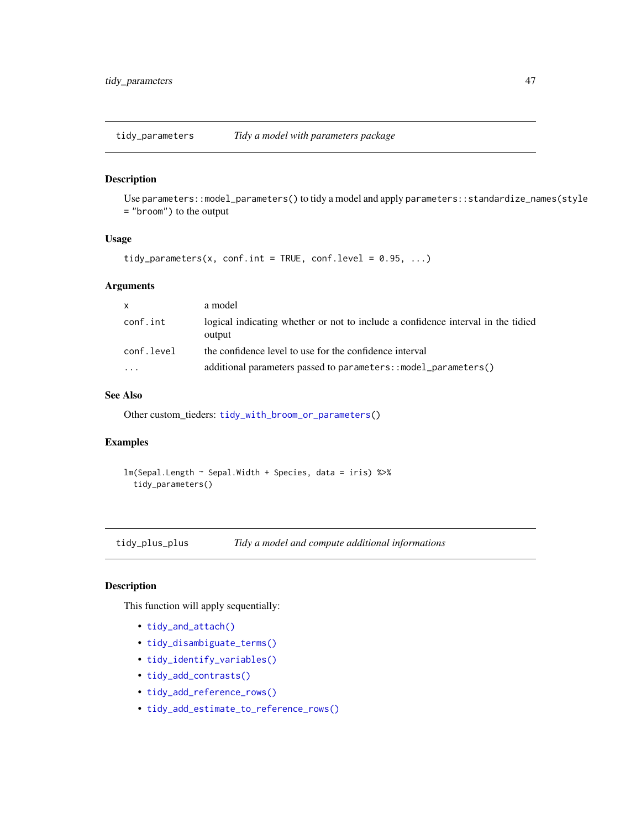<span id="page-46-2"></span><span id="page-46-0"></span>tidy\_parameters *Tidy a model with parameters package*

# Description

Use parameters::model\_parameters() to tidy a model and apply parameters::standardize\_names(style = "broom") to the output

#### Usage

```
tidy_parameters(x, conf.int = TRUE, conf.level = 0.95, ...)
```
#### Arguments

| $\mathsf{x}$ | a model                                                                                    |
|--------------|--------------------------------------------------------------------------------------------|
| conf.int     | logical indicating whether or not to include a confidence interval in the tidied<br>output |
| conf.level   | the confidence level to use for the confidence interval                                    |
| .            | additional parameters passed to parameters: : model_parameters()                           |

#### See Also

Other custom\_tieders: [tidy\\_with\\_broom\\_or\\_parameters\(](#page-51-1))

# Examples

lm(Sepal.Length ~ Sepal.Width + Species, data = iris) %>% tidy\_parameters()

<span id="page-46-1"></span>tidy\_plus\_plus *Tidy a model and compute additional informations*

# Description

This function will apply sequentially:

- [tidy\\_and\\_attach\(\)](#page-42-2)
- [tidy\\_disambiguate\\_terms\(\)](#page-43-1)
- [tidy\\_identify\\_variables\(\)](#page-44-1)
- [tidy\\_add\\_contrasts\(\)](#page-31-1)
- [tidy\\_add\\_reference\\_rows\(\)](#page-37-1)
- [tidy\\_add\\_estimate\\_to\\_reference\\_rows\(\)](#page-32-1)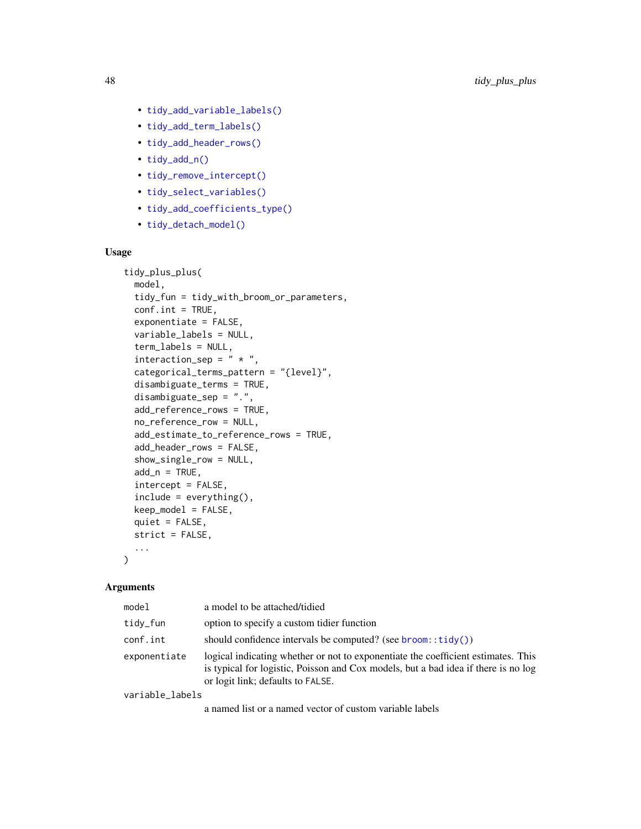- <span id="page-47-0"></span>• [tidy\\_add\\_variable\\_labels\(\)](#page-40-1)
- [tidy\\_add\\_term\\_labels\(\)](#page-39-1)
- [tidy\\_add\\_header\\_rows\(\)](#page-33-1)
- [tidy\\_add\\_n\(\)](#page-35-1)
- [tidy\\_remove\\_intercept\(\)](#page-50-1)
- [tidy\\_select\\_variables\(\)](#page-50-2)
- [tidy\\_add\\_coefficients\\_type\(\)](#page-30-1)
- [tidy\\_detach\\_model\(\)](#page-42-2)

# Usage

```
tidy_plus_plus(
  model,
  tidy_fun = tidy_with_broom_or_parameters,
  conf.int = TRUE,
  exponentiate = FALSE,
  variable_labels = NULL,
  term_labels = NULL,
  interaction_sep = " * "categorical_terms_pattern = "{level}",
  disambiguate_terms = TRUE,
  disambiguate_sep = ".",
  add_reference_rows = TRUE,
  no_reference_row = NULL,
  add_estimate_to_reference_rows = TRUE,
  add_header_rows = FALSE,
  show_single_row = NULL,
  add_n = TRUE,intercept = FALSE,
  include = everything(),
  keep_model = FALSE,quiet = FALSE,strict = FALSE,
  ...
\lambda
```
# Arguments

| model           | a model to be attached/tidied                                                                                                                                                                                |
|-----------------|--------------------------------------------------------------------------------------------------------------------------------------------------------------------------------------------------------------|
| tidy_fun        | option to specify a custom tidier function                                                                                                                                                                   |
| conf.int        | should confidence intervals be computed? (see $b$ room:: $\text{tidy}()$ )                                                                                                                                   |
| exponentiate    | logical indicating whether or not to exponentiate the coefficient estimates. This<br>is typical for logistic, Poisson and Cox models, but a bad idea if there is no log<br>or logit link; defaults to FALSE. |
| variable_labels |                                                                                                                                                                                                              |

a named list or a named vector of custom variable labels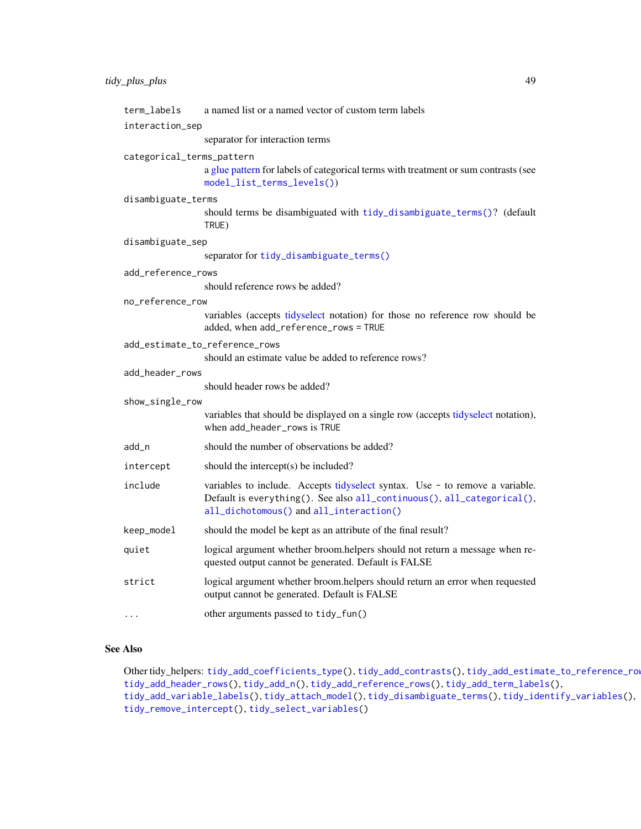<span id="page-48-0"></span>

| term_labels                                           | a named list or a named vector of custom term labels                                                                                                                                              |  |  |
|-------------------------------------------------------|---------------------------------------------------------------------------------------------------------------------------------------------------------------------------------------------------|--|--|
| interaction_sep                                       |                                                                                                                                                                                                   |  |  |
|                                                       | separator for interaction terms                                                                                                                                                                   |  |  |
| categorical_terms_pattern                             | a glue pattern for labels of categorical terms with treatment or sum contrasts (see<br>model_list_terms_levels())                                                                                 |  |  |
| disambiguate_terms                                    |                                                                                                                                                                                                   |  |  |
|                                                       | should terms be disambiguated with tidy_disambiguate_terms()? (default<br>TRUE)                                                                                                                   |  |  |
| disambiguate_sep                                      |                                                                                                                                                                                                   |  |  |
|                                                       | separator for tidy_disambiguate_terms()                                                                                                                                                           |  |  |
| add_reference_rows<br>should reference rows be added? |                                                                                                                                                                                                   |  |  |
| no_reference_row                                      |                                                                                                                                                                                                   |  |  |
|                                                       | variables (accepts tidyselect notation) for those no reference row should be<br>added, when add_reference_rows = TRUE                                                                             |  |  |
| add_estimate_to_reference_rows                        | should an estimate value be added to reference rows?                                                                                                                                              |  |  |
| add_header_rows                                       |                                                                                                                                                                                                   |  |  |
|                                                       | should header rows be added?                                                                                                                                                                      |  |  |
| show_single_row                                       |                                                                                                                                                                                                   |  |  |
|                                                       | variables that should be displayed on a single row (accepts tidyselect notation),<br>when add_header_rows is TRUE                                                                                 |  |  |
| add_n                                                 | should the number of observations be added?                                                                                                                                                       |  |  |
| intercept                                             | should the intercept(s) be included?                                                                                                                                                              |  |  |
| include                                               | variables to include. Accepts tidyselect syntax. Use - to remove a variable.<br>Default is everything(). See also all_continuous(), all_categorical(),<br>all_dichotomous() and all_interaction() |  |  |
| keep_model                                            | should the model be kept as an attribute of the final result?                                                                                                                                     |  |  |
| quiet                                                 | logical argument whether broom.helpers should not return a message when re-<br>quested output cannot be generated. Default is FALSE                                                               |  |  |
| strict                                                | logical argument whether broom.helpers should return an error when requested<br>output cannot be generated. Default is FALSE                                                                      |  |  |
| $\cdots$                                              | other arguments passed to tidy_fun()                                                                                                                                                              |  |  |

#### See Also

Other tidy\_helpers: [tidy\\_add\\_coefficients\\_type\(](#page-30-1)), [tidy\\_add\\_contrasts\(](#page-31-1)), [tidy\\_add\\_estimate\\_to\\_reference\\_rows\(](#page-32-1)), [tidy\\_add\\_header\\_rows\(](#page-33-1)), [tidy\\_add\\_n\(](#page-35-1)), [tidy\\_add\\_reference\\_rows\(](#page-37-1)), [tidy\\_add\\_term\\_labels\(](#page-39-1)), [tidy\\_add\\_variable\\_labels\(](#page-40-1)), [tidy\\_attach\\_model\(](#page-42-1)), [tidy\\_disambiguate\\_terms\(](#page-43-1)), [tidy\\_identify\\_variables\(](#page-44-1)), [tidy\\_remove\\_intercept\(](#page-50-1)), [tidy\\_select\\_variables\(](#page-50-2))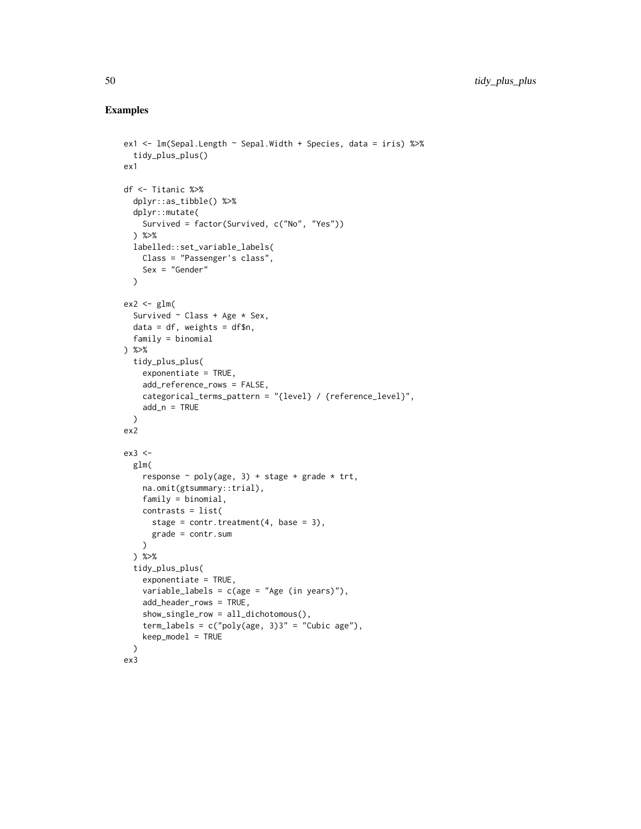# Examples

```
ex1 <- lm(Sepal.Length ~ Sepal.Width + Species, data = iris) %>%
  tidy_plus_plus()
ex1
df <- Titanic %>%
  dplyr::as_tibble() %>%
  dplyr::mutate(
   Survived = factor(Survived, c("No", "Yes"))
  ) %>%
  labelled::set_variable_labels(
   Class = "Passenger's class",
   Sex = "Gender"
  \lambdaex2 < - glm(Survived ~ Class + Age * Sex,
  data = df, weights = df$n,
  family = binomial
) %>%
  tidy_plus_plus(
   exponentiate = TRUE,
    add_reference_rows = FALSE,
   categorical_terms_pattern = "{level} / {reference_level}",
   add_n = TRUE)
ex2
ex3 <-
 glm(
   response \sim poly(age, 3) + stage + grade * trt,
   na.omit(gtsummary::trial),
   family = binomial,
   contrasts = list(
     stage = contr.treatment(4, base = 3),
      grade = contr.sum
   \lambda) %>%
  tidy_plus_plus(
    exponentiate = TRUE,
    variable_labels = c(age = "Age (in years)"),
   add_header_rows = TRUE,
   show_single_row = all_dichotomous(),
    term_labels = c("poly(age, 3)3" = "Cubic age"),
   keep_model = TRUE
  )
ex3
```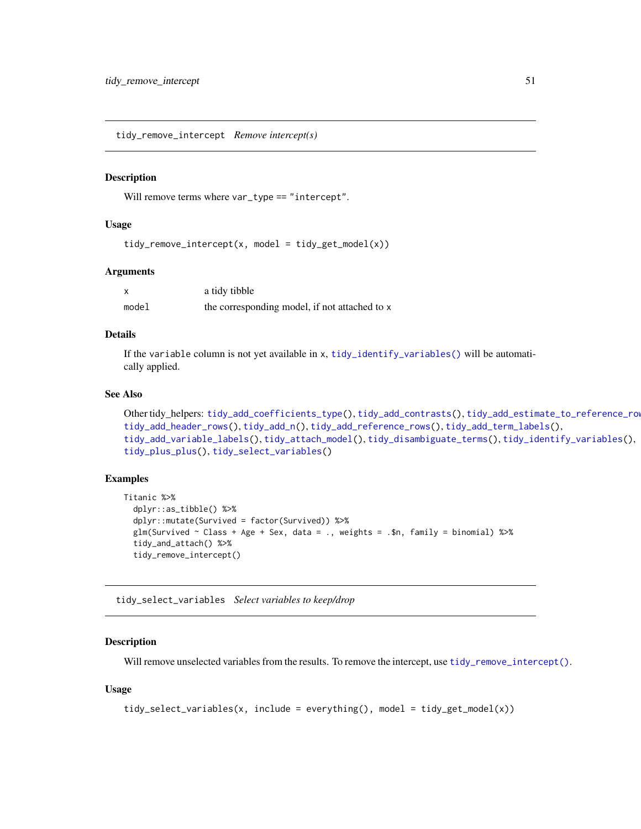<span id="page-50-1"></span><span id="page-50-0"></span>tidy\_remove\_intercept *Remove intercept(s)*

#### Description

Will remove terms where var\_type == "intercept".

#### Usage

```
tidy_remove_intercept(x, model = tidy_get_model(x))
```
#### Arguments

|       | a tidy tibble                                 |
|-------|-----------------------------------------------|
| model | the corresponding model, if not attached to x |

# Details

If the variable column is not yet available in x, [tidy\\_identify\\_variables\(\)](#page-44-1) will be automatically applied.

#### See Also

```
Other tidy_helpers: tidy_add_coefficients_type(), tidy_add_contrasts(), tidy_add_estimate_to_reference_rows(),
tidy_add_header_rows(), tidy_add_n(), tidy_add_reference_rows(), tidy_add_term_labels(),
tidy_add_variable_labels(), tidy_attach_model(), tidy_disambiguate_terms(), tidy_identify_variables(),
tidy_plus_plus(), tidy_select_variables()
```
#### Examples

```
Titanic %>%
  dplyr::as_tibble() %>%
  dplyr::mutate(Survived = factor(Survived)) %>%
  glm(Survived \sim Class + Age + Sex, data = ., weights = .$n, family = binomial) %\gg%
  tidy_and_attach() %>%
  tidy_remove_intercept()
```
<span id="page-50-2"></span>tidy\_select\_variables *Select variables to keep/drop*

#### Description

Will remove unselected variables from the results. To remove the intercept, use [tidy\\_remove\\_intercept\(\)](#page-50-1).

#### Usage

```
tidy_select_variables(x, include = everything(), model = tidy_get_model(x))
```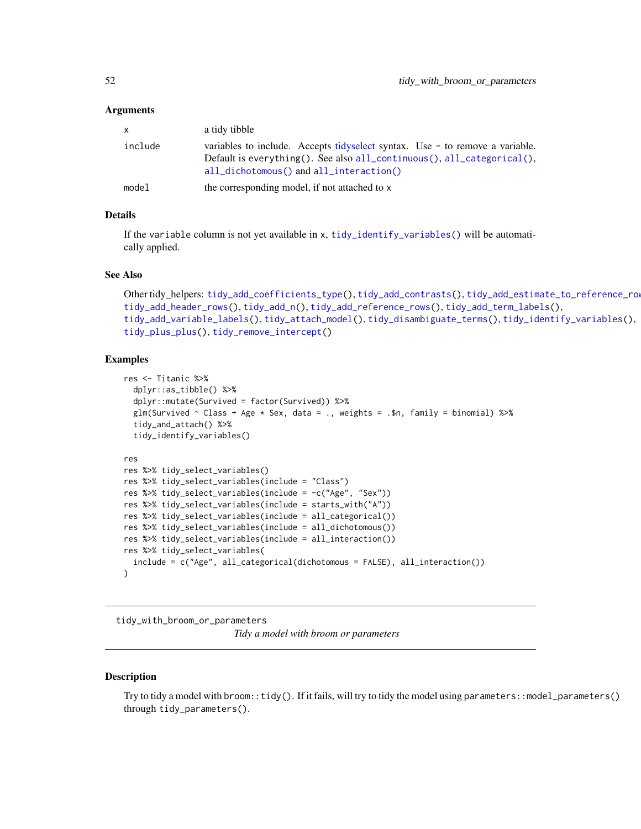#### <span id="page-51-0"></span>Arguments

| $\mathsf{X}$ | a tidy tibble                                                                                                                                                                                       |
|--------------|-----------------------------------------------------------------------------------------------------------------------------------------------------------------------------------------------------|
| include      | variables to include. Accepts tidyselect syntax. Use $-$ to remove a variable.<br>Default is everything(). See also all_continuous(), all_categorical(),<br>all_dichotomous() and all_interaction() |
| model        | the corresponding model, if not attached to x                                                                                                                                                       |

#### Details

If the variable column is not yet available in x, [tidy\\_identify\\_variables\(\)](#page-44-1) will be automatically applied.

#### See Also

```
Other tidy_helpers: tidy_add_coefficients_type(), tidy_add_contrasts(), tidy_add_estimate_to_reference_rows(),
tidy_add_header_rows(), tidy_add_n(), tidy_add_reference_rows(), tidy_add_term_labels(),
tidy_add_variable_labels(), tidy_attach_model(), tidy_disambiguate_terms(), tidy_identify_variables(),
tidy_plus_plus(), tidy_remove_intercept()
```
#### Examples

```
res <- Titanic %>%
  dplyr::as_tibble() %>%
  dplyr::mutate(Survived = factor(Survived)) %>%
  glm(Survived \sim Class + Age \star Sex, data = ., weights = .$n, family = binomial) %\gg%
  tidy_and_attach() %>%
  tidy_identify_variables()
res
res %>% tidy_select_variables()
res %>% tidy_select_variables(include = "Class")
res %>% tidy_select_variables(include = -c("Age", "Sex"))
res %>% tidy_select_variables(include = starts_with("A"))
res %>% tidy_select_variables(include = all_categorical())
res %>% tidy_select_variables(include = all_dichotomous())
res %>% tidy_select_variables(include = all_interaction())
res %>% tidy_select_variables(
  include = c("Age", all_categorical(dichotomous = FALSE), all_interaction())
)
```
<span id="page-51-1"></span>tidy\_with\_broom\_or\_parameters *Tidy a model with broom or parameters*

#### Description

Try to tidy a model with broom::tidy(). If it fails, will try to tidy the model using parameters::model\_parameters() through tidy\_parameters().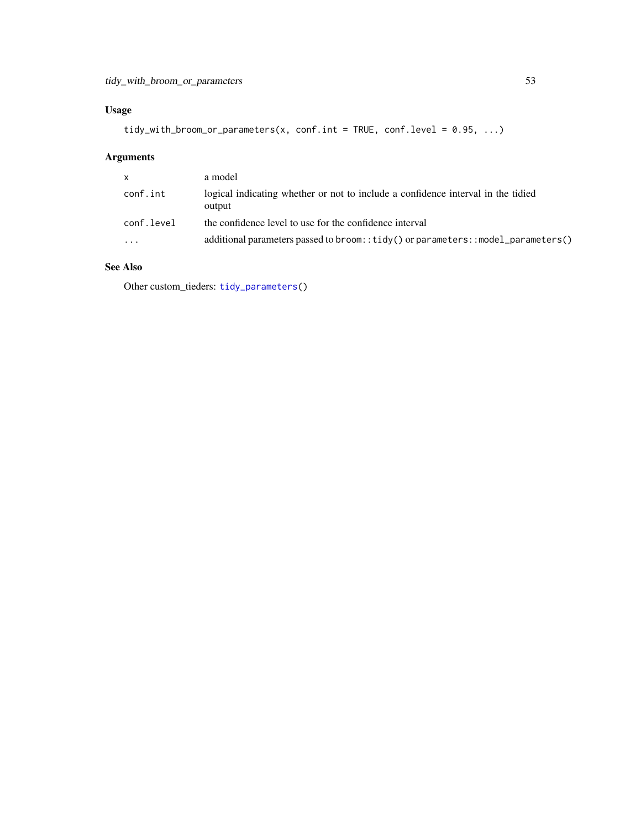# <span id="page-52-0"></span>Usage

tidy\_with\_broom\_or\_parameters(x, conf.int = TRUE, conf.level = 0.95, ...)

# Arguments

| $\times$   | a model                                                                                    |
|------------|--------------------------------------------------------------------------------------------|
| conf.int   | logical indicating whether or not to include a confidence interval in the tidied<br>output |
| conf.level | the confidence level to use for the confidence interval                                    |
| $\ddotsc$  | additional parameters passed to broom:: $\text{tidy}()$ or parameters::model_parameters()  |

# See Also

Other custom\_tieders: [tidy\\_parameters\(](#page-46-2))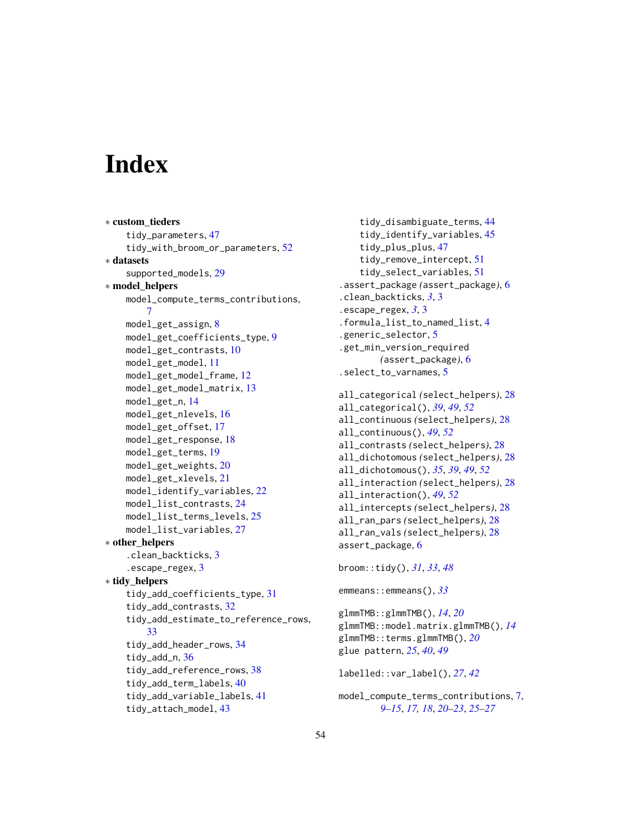# <span id="page-53-0"></span>**Index**

```
∗ custom_tieders
    tidy_parameters, 47
    tidy_with_broom_or_parameters, 52
∗ datasets
    supported_models, 29
∗ model_helpers
    model_compute_terms_contributions,
        7
    model_get_assign, 8
    model_get_coefficients_type, 9
    model_get_contrasts, 10
    model_get_model, 11
    12
    model_get_model_matrix, 13
    model_get_n, 14
    model_get_nlevels, 16
    model_get_offset, 17
    model_get_response, 18
    model_get_terms, 19
    model_get_weights, 20
    model_get_xlevels, 21
    model_identify_variables, 22
    model_list_contrasts, 24
    model_list_terms_levels, 25
    model_list_variables, 27
∗ other_helpers
    .clean_backticks, 3
    .escape_regex, 3
∗ tidy_helpers
    tidy_add_coefficients_type, 31
    tidy_add_contrasts, 32
    tidy_add_estimate_to_reference_rows,
        33
    tidy_add_header_rows, 34
    tidy_add_n, 36
    tidy_add_reference_rows, 38
    tidy_add_term_labels, 40
    tidy_add_variable_labels, 41
    tidy_attach_model, 43
```

```
tidy_disambiguate_terms, 44
    tidy_identify_variables, 45
    tidy_plus_plus, 47
    tidy_remove_intercept, 51
    tidy_select_variables, 51
.assert_package (assert_package), 6
.clean_backticks, 3, 3
.escape_regex, 3, 3
.formula_list_to_named_list, 4
.generic_selector, 5
.get_min_version_required
        (assert_package), 6
.select_to_varnames, 5
```

```
all_categorical (select_helpers), 28
all_categorical(), 39, 49, 52
all_continuous (select_helpers), 28
all_continuous(), 49, 52
all_contrasts (select_helpers), 28
all_dichotomous (select_helpers), 28
all_dichotomous(), 35, 39, 49, 52
all_interaction (select_helpers), 28
all_interaction(), 49, 52
all_intercepts (select_helpers), 28
all_ran_pars (select_helpers), 28
all_ran_vals (select_helpers), 28
assert_package, 6
```

```
broom::tidy(), 31, 33, 48
```

```
emmeans::emmeans(), 33
```

```
glmmTMB::glmmTMB(), 14, 20
glmmTMB::model.matrix.glmmTMB(), 14
glmmTMB::terms.glmmTMB(), 20
glue pattern, 25, 40, 49
```
labelled::var\_label(), *[27](#page-26-0)*, *[42](#page-41-0)*

```
model_compute_terms_contributions, 7,
         9–15, 17, 18, 20–23, 25–27
```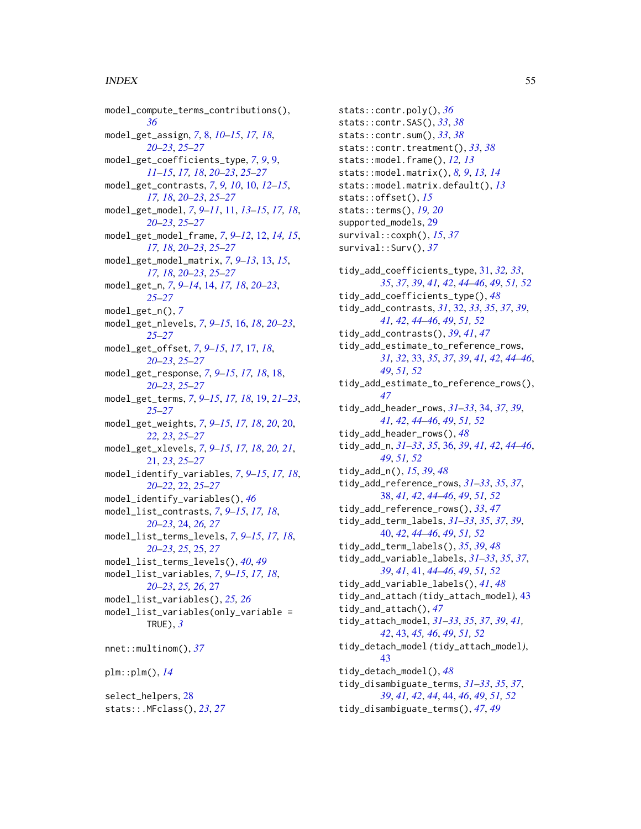#### INDEX 55

model\_compute\_terms\_contributions(), *[36](#page-35-0)* model\_get\_assign, *[7](#page-6-0)*, [8,](#page-7-0) *[10–](#page-9-0)[15](#page-14-0)*, *[17,](#page-16-0) [18](#page-17-0)*, *[20](#page-19-0)[–23](#page-22-0)*, *[25](#page-24-0)[–27](#page-26-0)* model\_get\_coefficients\_type, *[7](#page-6-0)*, *[9](#page-8-0)*, [9,](#page-8-0) *[11](#page-10-0)[–15](#page-14-0)*, *[17,](#page-16-0) [18](#page-17-0)*, *[20–](#page-19-0)[23](#page-22-0)*, *[25–](#page-24-0)[27](#page-26-0)* model\_get\_contrasts, *[7](#page-6-0)*, *[9,](#page-8-0) [10](#page-9-0)*, [10,](#page-9-0) *[12–](#page-11-0)[15](#page-14-0)*, *[17,](#page-16-0) [18](#page-17-0)*, *[20](#page-19-0)[–23](#page-22-0)*, *[25–](#page-24-0)[27](#page-26-0)* model\_get\_model, *[7](#page-6-0)*, *[9–](#page-8-0)[11](#page-10-0)*, [11,](#page-10-0) *[13–](#page-12-0)[15](#page-14-0)*, *[17,](#page-16-0) [18](#page-17-0)*, *[20](#page-19-0)[–23](#page-22-0)*, *[25](#page-24-0)[–27](#page-26-0)* model\_get\_model\_frame, *[7](#page-6-0)*, *[9–](#page-8-0)[12](#page-11-0)*, [12,](#page-11-0) *[14,](#page-13-0) [15](#page-14-0)*, *[17,](#page-16-0) [18](#page-17-0)*, *[20](#page-19-0)[–23](#page-22-0)*, *[25–](#page-24-0)[27](#page-26-0)* model\_get\_model\_matrix, *[7](#page-6-0)*, *[9–](#page-8-0)[13](#page-12-0)*, [13,](#page-12-0) *[15](#page-14-0)*, *[17,](#page-16-0) [18](#page-17-0)*, *[20](#page-19-0)[–23](#page-22-0)*, *[25–](#page-24-0)[27](#page-26-0)* model\_get\_n, *[7](#page-6-0)*, *[9](#page-8-0)[–14](#page-13-0)*, [14,](#page-13-0) *[17,](#page-16-0) [18](#page-17-0)*, *[20–](#page-19-0)[23](#page-22-0)*, *[25](#page-24-0)[–27](#page-26-0)* model\_get\_n(), *[7](#page-6-0)* model\_get\_nlevels, *[7](#page-6-0)*, *[9–](#page-8-0)[15](#page-14-0)*, [16,](#page-15-0) *[18](#page-17-0)*, *[20–](#page-19-0)[23](#page-22-0)*, *[25](#page-24-0)[–27](#page-26-0)* model\_get\_offset, *[7](#page-6-0)*, *[9–](#page-8-0)[15](#page-14-0)*, *[17](#page-16-0)*, [17,](#page-16-0) *[18](#page-17-0)*, *[20](#page-19-0)[–23](#page-22-0)*, *[25](#page-24-0)[–27](#page-26-0)* model\_get\_response, *[7](#page-6-0)*, *[9–](#page-8-0)[15](#page-14-0)*, *[17,](#page-16-0) [18](#page-17-0)*, [18,](#page-17-0) *[20](#page-19-0)[–23](#page-22-0)*, *[25](#page-24-0)[–27](#page-26-0)* model\_get\_terms, *[7](#page-6-0)*, *[9–](#page-8-0)[15](#page-14-0)*, *[17,](#page-16-0) [18](#page-17-0)*, [19,](#page-18-0) *[21–](#page-20-0)[23](#page-22-0)*, *[25](#page-24-0)[–27](#page-26-0)* model\_get\_weights, *[7](#page-6-0)*, *[9–](#page-8-0)[15](#page-14-0)*, *[17,](#page-16-0) [18](#page-17-0)*, *[20](#page-19-0)*, [20,](#page-19-0) *[22,](#page-21-0) [23](#page-22-0)*, *[25](#page-24-0)[–27](#page-26-0)* model\_get\_xlevels, *[7](#page-6-0)*, *[9–](#page-8-0)[15](#page-14-0)*, *[17,](#page-16-0) [18](#page-17-0)*, *[20,](#page-19-0) [21](#page-20-0)*, [21,](#page-20-0) *[23](#page-22-0)*, *[25](#page-24-0)[–27](#page-26-0)* model\_identify\_variables, *[7](#page-6-0)*, *[9–](#page-8-0)[15](#page-14-0)*, *[17,](#page-16-0) [18](#page-17-0)*, *[20](#page-19-0)[–22](#page-21-0)*, [22,](#page-21-0) *[25–](#page-24-0)[27](#page-26-0)* model\_identify\_variables(), *[46](#page-45-0)* model\_list\_contrasts, *[7](#page-6-0)*, *[9–](#page-8-0)[15](#page-14-0)*, *[17,](#page-16-0) [18](#page-17-0)*, *[20](#page-19-0)[–23](#page-22-0)*, [24,](#page-23-0) *[26,](#page-25-0) [27](#page-26-0)* model\_list\_terms\_levels, *[7](#page-6-0)*, *[9–](#page-8-0)[15](#page-14-0)*, *[17,](#page-16-0) [18](#page-17-0)*, *[20](#page-19-0)[–23](#page-22-0)*, *[25](#page-24-0)*, [25,](#page-24-0) *[27](#page-26-0)* model\_list\_terms\_levels(), *[40](#page-39-0)*, *[49](#page-48-0)* model\_list\_variables, *[7](#page-6-0)*, *[9–](#page-8-0)[15](#page-14-0)*, *[17,](#page-16-0) [18](#page-17-0)*, *[20](#page-19-0)[–23](#page-22-0)*, *[25,](#page-24-0) [26](#page-25-0)*, [27](#page-26-0) model\_list\_variables(), *[25,](#page-24-0) [26](#page-25-0)* model\_list\_variables(only\_variable = TRUE), *[3](#page-2-0)* nnet::multinom(), *[37](#page-36-0)* plm::plm(), *[14](#page-13-0)* select\_helpers, [28](#page-27-0) stats::.MFclass(), *[23](#page-22-0)*, *[27](#page-26-0)*

stats::contr.poly(), *[36](#page-35-0)* stats::contr.SAS(), *[33](#page-32-0)*, *[38](#page-37-0)* stats::contr.sum(), *[33](#page-32-0)*, *[38](#page-37-0)* stats::contr.treatment(), *[33](#page-32-0)*, *[38](#page-37-0)* stats::model.frame(), *[12,](#page-11-0) [13](#page-12-0)* stats::model.matrix(), *[8,](#page-7-0) [9](#page-8-0)*, *[13,](#page-12-0) [14](#page-13-0)* stats::model.matrix.default(), *[13](#page-12-0)* stats::offset(), *[15](#page-14-0)* stats::terms(), *[19,](#page-18-0) [20](#page-19-0)* supported\_models, [29](#page-28-0) survival::coxph(), *[15](#page-14-0)*, *[37](#page-36-0)* survival::Surv(), *[37](#page-36-0)* tidy\_add\_coefficients\_type, [31,](#page-30-0) *[32,](#page-31-0) [33](#page-32-0)*, *[35](#page-34-0)*, *[37](#page-36-0)*, *[39](#page-38-0)*, *[41,](#page-40-0) [42](#page-41-0)*, *[44](#page-43-0)[–46](#page-45-0)*, *[49](#page-48-0)*, *[51,](#page-50-0) [52](#page-51-0)* tidy\_add\_coefficients\_type(), *[48](#page-47-0)* tidy\_add\_contrasts, *[31](#page-30-0)*, [32,](#page-31-0) *[33](#page-32-0)*, *[35](#page-34-0)*, *[37](#page-36-0)*, *[39](#page-38-0)*, *[41,](#page-40-0) [42](#page-41-0)*, *[44](#page-43-0)[–46](#page-45-0)*, *[49](#page-48-0)*, *[51,](#page-50-0) [52](#page-51-0)* tidy\_add\_contrasts(), *[39](#page-38-0)*, *[41](#page-40-0)*, *[47](#page-46-0)* tidy\_add\_estimate\_to\_reference\_rows, *[31,](#page-30-0) [32](#page-31-0)*, [33,](#page-32-0) *[35](#page-34-0)*, *[37](#page-36-0)*, *[39](#page-38-0)*, *[41,](#page-40-0) [42](#page-41-0)*, *[44](#page-43-0)[–46](#page-45-0)*, *[49](#page-48-0)*, *[51,](#page-50-0) [52](#page-51-0)* tidy\_add\_estimate\_to\_reference\_rows(), *[47](#page-46-0)* tidy\_add\_header\_rows, *[31](#page-30-0)[–33](#page-32-0)*, [34,](#page-33-0) *[37](#page-36-0)*, *[39](#page-38-0)*, *[41,](#page-40-0) [42](#page-41-0)*, *[44](#page-43-0)[–46](#page-45-0)*, *[49](#page-48-0)*, *[51,](#page-50-0) [52](#page-51-0)* tidy\_add\_header\_rows(), *[48](#page-47-0)* tidy\_add\_n, *[31](#page-30-0)[–33](#page-32-0)*, *[35](#page-34-0)*, [36,](#page-35-0) *[39](#page-38-0)*, *[41,](#page-40-0) [42](#page-41-0)*, *[44](#page-43-0)[–46](#page-45-0)*, *[49](#page-48-0)*, *[51,](#page-50-0) [52](#page-51-0)* tidy\_add\_n(), *[15](#page-14-0)*, *[39](#page-38-0)*, *[48](#page-47-0)* tidy\_add\_reference\_rows, *[31](#page-30-0)[–33](#page-32-0)*, *[35](#page-34-0)*, *[37](#page-36-0)*, [38,](#page-37-0) *[41,](#page-40-0) [42](#page-41-0)*, *[44](#page-43-0)[–46](#page-45-0)*, *[49](#page-48-0)*, *[51,](#page-50-0) [52](#page-51-0)* tidy\_add\_reference\_rows(), *[33](#page-32-0)*, *[47](#page-46-0)* tidy\_add\_term\_labels, *[31](#page-30-0)[–33](#page-32-0)*, *[35](#page-34-0)*, *[37](#page-36-0)*, *[39](#page-38-0)*, [40,](#page-39-0) *[42](#page-41-0)*, *[44](#page-43-0)[–46](#page-45-0)*, *[49](#page-48-0)*, *[51,](#page-50-0) [52](#page-51-0)* tidy\_add\_term\_labels(), *[35](#page-34-0)*, *[39](#page-38-0)*, *[48](#page-47-0)* tidy\_add\_variable\_labels, *[31](#page-30-0)[–33](#page-32-0)*, *[35](#page-34-0)*, *[37](#page-36-0)*, *[39](#page-38-0)*, *[41](#page-40-0)*, [41,](#page-40-0) *[44](#page-43-0)[–46](#page-45-0)*, *[49](#page-48-0)*, *[51,](#page-50-0) [52](#page-51-0)* tidy\_add\_variable\_labels(), *[41](#page-40-0)*, *[48](#page-47-0)* tidy\_and\_attach *(*tidy\_attach\_model*)*, [43](#page-42-0) tidy\_and\_attach(), *[47](#page-46-0)* tidy\_attach\_model, *[31](#page-30-0)[–33](#page-32-0)*, *[35](#page-34-0)*, *[37](#page-36-0)*, *[39](#page-38-0)*, *[41,](#page-40-0) [42](#page-41-0)*, [43,](#page-42-0) *[45,](#page-44-0) [46](#page-45-0)*, *[49](#page-48-0)*, *[51,](#page-50-0) [52](#page-51-0)* tidy\_detach\_model *(*tidy\_attach\_model*)*, [43](#page-42-0) tidy\_detach\_model(), *[48](#page-47-0)* tidy\_disambiguate\_terms, *[31](#page-30-0)[–33](#page-32-0)*, *[35](#page-34-0)*, *[37](#page-36-0)*, *[39](#page-38-0)*, *[41,](#page-40-0) [42](#page-41-0)*, *[44](#page-43-0)*, [44,](#page-43-0) *[46](#page-45-0)*, *[49](#page-48-0)*, *[51,](#page-50-0) [52](#page-51-0)* tidy\_disambiguate\_terms(), *[47](#page-46-0)*, *[49](#page-48-0)*